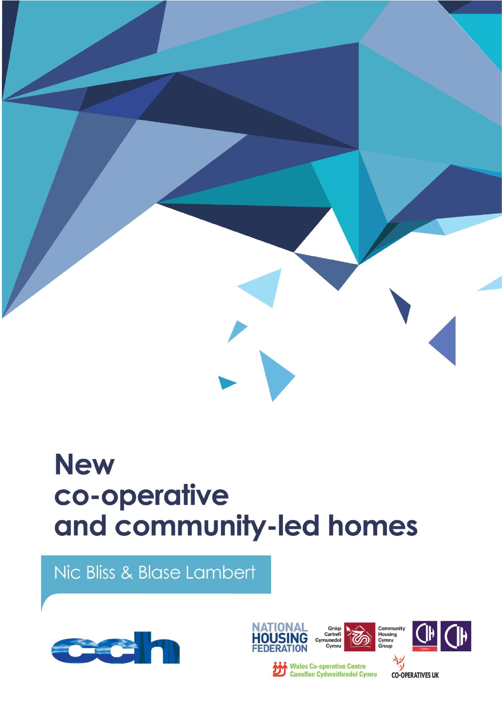

# **New** co-operative and community-led homes

Nic Bliss & Blase Lambert











**Wales Co-operative Centre**<br>Canolfan Cydweithredol Cymru

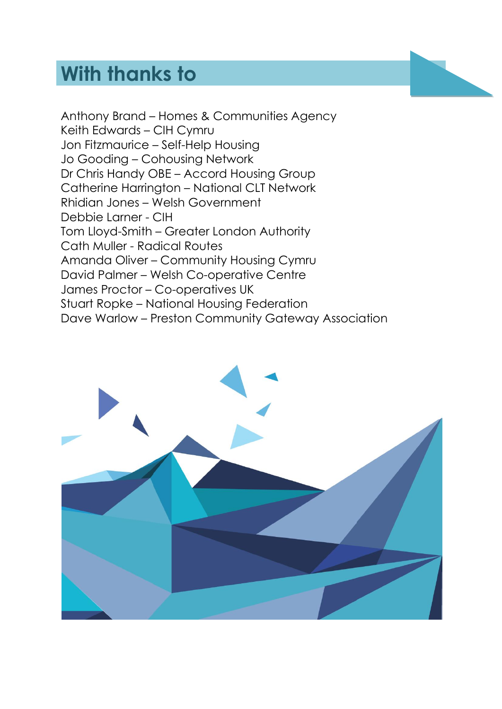# **With thanks to**

Anthony Brand – Homes & Communities Agency Keith Edwards – CIH Cymru Jon Fitzmaurice – Self-Help Housing Jo Gooding – Cohousing Network Dr Chris Handy OBE – Accord Housing Group Catherine Harrington – National CLT Network Rhidian Jones – Welsh Government Debbie Larner - CIH Tom Lloyd-Smith – Greater London Authority Cath Muller - Radical Routes Amanda Oliver – Community Housing Cymru David Palmer – Welsh Co-operative Centre James Proctor – Co-operatives UK Stuart Ropke – National Housing Federation Dave Warlow – Preston Community Gateway Association

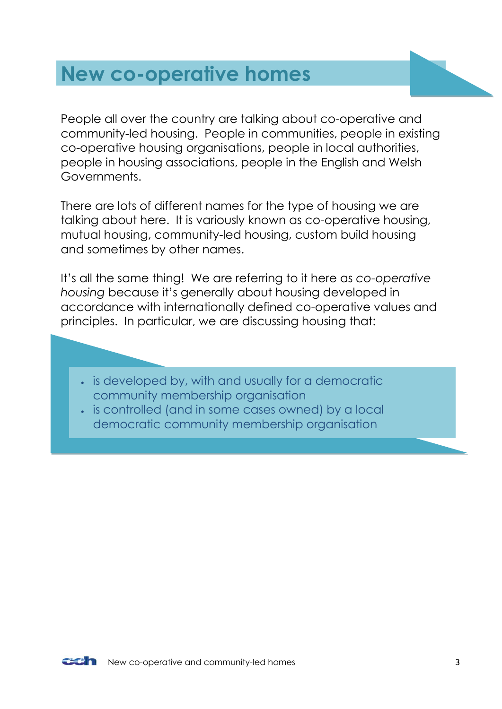# <span id="page-2-0"></span>**New co-operative homes**

People all over the country are talking about co-operative and community-led housing. People in communities, people in existing co-operative housing organisations, people in local authorities, people in housing associations, people in the English and Welsh Governments.

There are lots of different names for the type of housing we are talking about here. It is variously known as co-operative housing, mutual housing, community-led housing, custom build housing and sometimes by other names.

It's all the same thing! We are referring to it here as *co-operative housing* because it's generally about housing developed in accordance with internationally defined co-operative values and principles. In particular, we are discussing housing that:

- $\cdot$  is developed by, with and usually for a democratic community membership organisation
- is controlled (and in some cases owned) by a local democratic community membership organisation

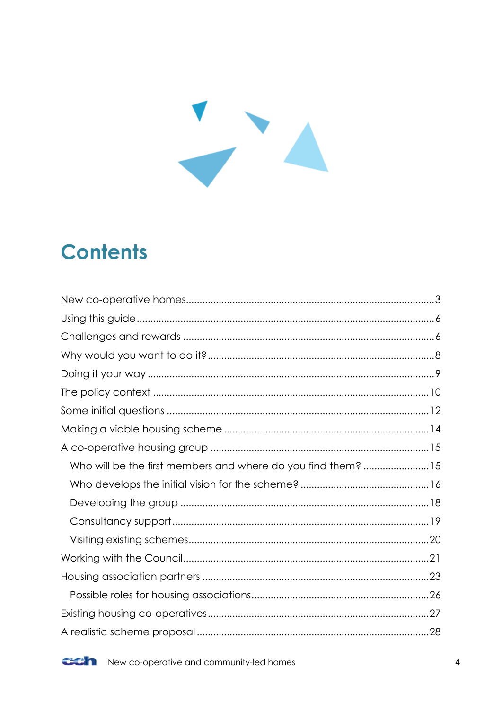

# **Contents**

| Who will be the first members and where do you find them? 15 |  |
|--------------------------------------------------------------|--|
|                                                              |  |
|                                                              |  |
|                                                              |  |
|                                                              |  |
|                                                              |  |
|                                                              |  |
|                                                              |  |
|                                                              |  |
|                                                              |  |

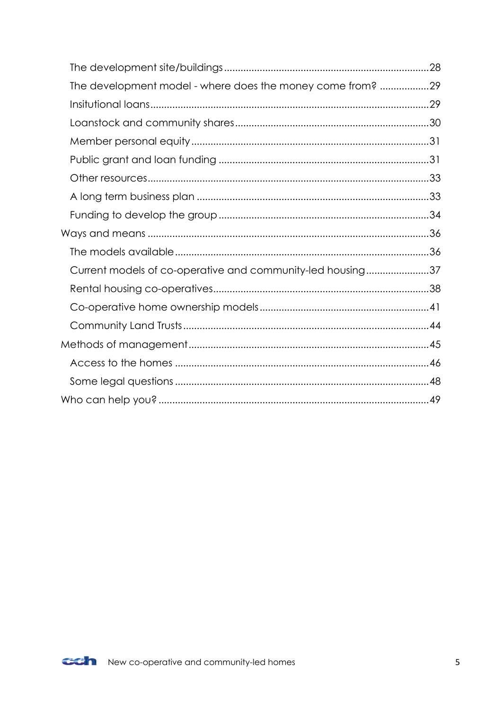| The development model - where does the money come from? 29 |  |
|------------------------------------------------------------|--|
|                                                            |  |
|                                                            |  |
|                                                            |  |
|                                                            |  |
|                                                            |  |
|                                                            |  |
|                                                            |  |
|                                                            |  |
|                                                            |  |
| Current models of co-operative and community-led housing37 |  |
|                                                            |  |
|                                                            |  |
|                                                            |  |
|                                                            |  |
|                                                            |  |
|                                                            |  |
|                                                            |  |

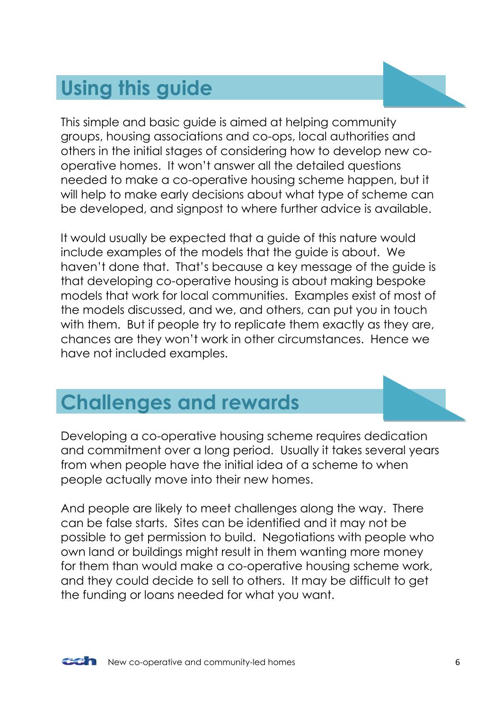# <span id="page-5-0"></span>**Using this guide**

This simple and basic guide is aimed at helping community groups, housing associations and co-ops, local authorities and others in the initial stages of considering how to develop new cooperative homes. It won't answer all the detailed questions needed to make a co-operative housing scheme happen, but it will help to make early decisions about what type of scheme can be developed, and signpost to where further advice is available.

It would usually be expected that a guide of this nature would include examples of the models that the guide is about. We haven't done that. That's because a key message of the guide is that developing co-operative housing is about making bespoke models that work for local communities. Examples exist of most of the models discussed, and we, and others, can put you in touch with them. But if people try to replicate them exactly as they are, chances are they won't work in other circumstances. Hence we have not included examples.

# <span id="page-5-1"></span>**Challenges and rewards**

Developing a co-operative housing scheme requires dedication and commitment over a long period. Usually it takes several years from when people have the initial idea of a scheme to when people actually move into their new homes.

And people are likely to meet challenges along the way. There can be false starts. Sites can be identified and it may not be possible to get permission to build. Negotiations with people who own land or buildings might result in them wanting more money for them than would make a co-operative housing scheme work, and they could decide to sell to others. It may be difficult to get the funding or loans needed for what you want.

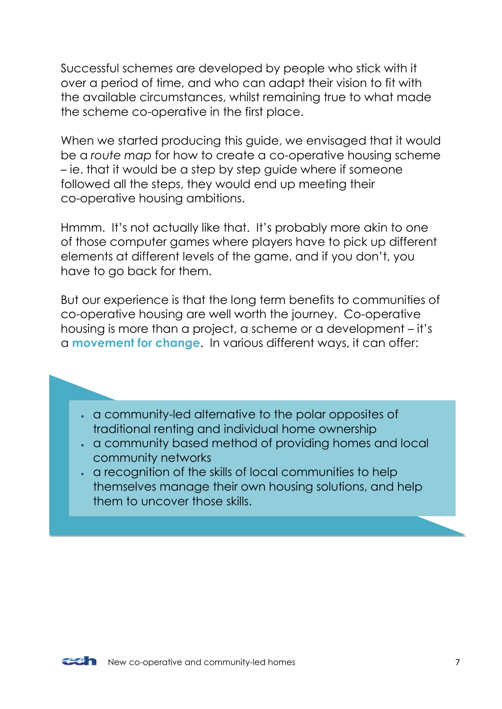Successful schemes are developed by people who stick with it over a period of time, and who can adapt their vision to fit with the available circumstances, whilst remaining true to what made the scheme co-operative in the first place.

When we started producing this guide, we envisaged that it would be a *route map* for how to create a co-operative housing scheme – ie. that it would be a step by step guide where if someone followed all the steps, they would end up meeting their co-operative housing ambitions.

Hmmm. It's not actually like that. It's probably more akin to one of those computer games where players have to pick up different elements at different levels of the game, and if you don't, you have to go back for them.

But our experience is that the long term benefits to communities of co-operative housing are well worth the journey. Co-operative housing is more than a project, a scheme or a development – it's a **movement for change**. In various different ways, it can offer:

- a community-led alternative to the polar opposites of traditional renting and individual home ownership
- a community based method of providing homes and local community networks
- a recognition of the skills of local communities to help themselves manage their own housing solutions, and help them to uncover those skills.

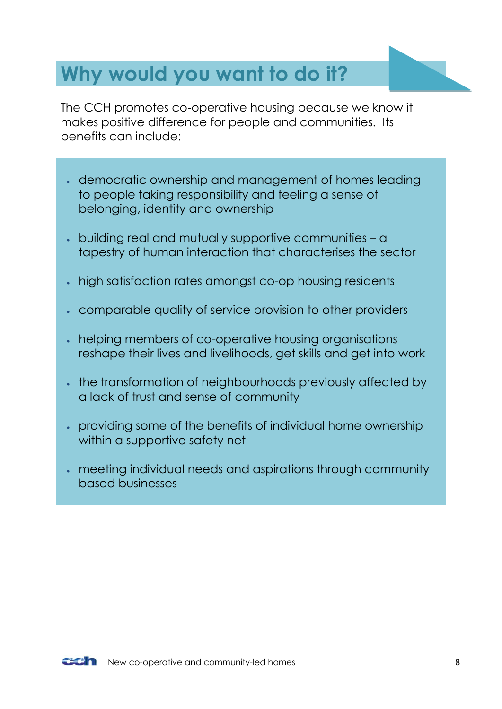# <span id="page-7-0"></span>**Why would you want to do it?**

The CCH promotes co-operative housing because we know it makes positive difference for people and communities. Its benefits can include:

- democratic ownership and management of homes leading to people taking responsibility and feeling a sense of belonging, identity and ownership
- building real and mutually supportive communities a tapestry of human interaction that characterises the sector
- high satisfaction rates amongst co-op housing residents
- comparable quality of service provision to other providers
- helping members of co-operative housing organisations reshape their lives and livelihoods, get skills and get into work
- the transformation of neighbourhoods previously affected by a lack of trust and sense of community
- providing some of the benefits of individual home ownership within a supportive safety net
- meeting individual needs and aspirations through community based businesses

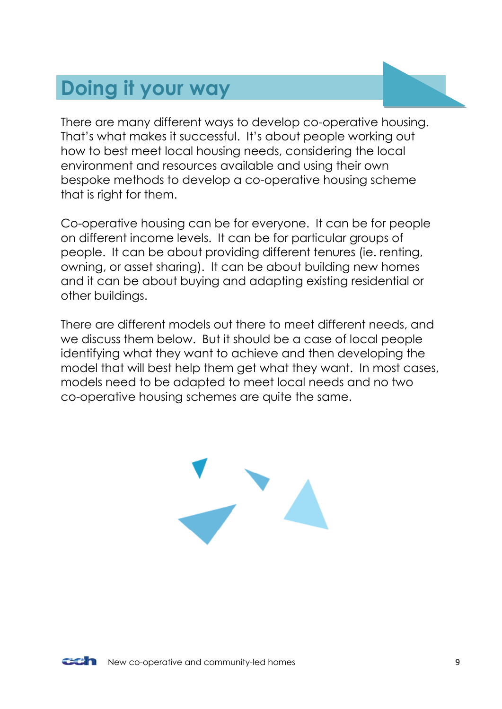# <span id="page-8-0"></span>**Doing it your way**

There are many different ways to develop co-operative housing. That's what makes it successful. It's about people working out how to best meet local housing needs, considering the local environment and resources available and using their own bespoke methods to develop a co-operative housing scheme that is right for them.

Co-operative housing can be for everyone. It can be for people on different income levels. It can be for particular groups of people. It can be about providing different tenures (ie. renting, owning, or asset sharing). It can be about building new homes and it can be about buying and adapting existing residential or other buildings.

There are different models out there to meet different needs, and we discuss them below. But it should be a case of local people identifying what they want to achieve and then developing the model that will best help them get what they want. In most cases, models need to be adapted to meet local needs and no two co-operative housing schemes are quite the same.



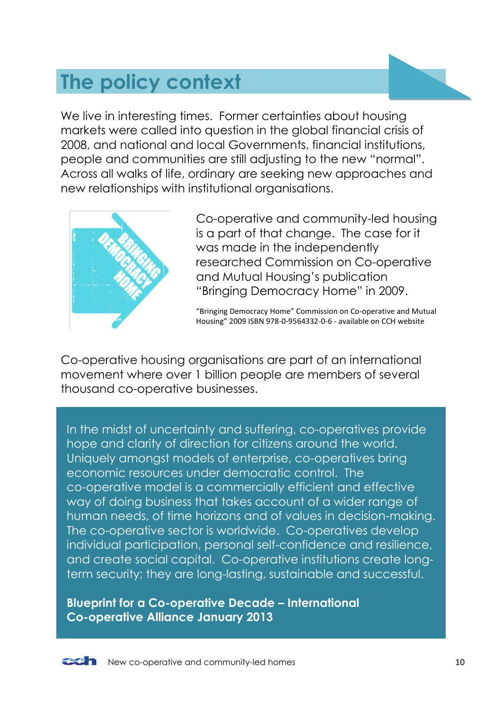# <span id="page-9-0"></span>**The policy context**

We live in interesting times. Former certainties about housing markets were called into question in the global financial crisis of 2008, and national and local Governments, financial institutions, people and communities are still adjusting to the new "normal". Across all walks of life, ordinary are seeking new approaches and new relationships with institutional organisations.



Co-operative and community-led housing is a part of that change. The case for it was made in the independently researched Commission on Co-operative and Mutual Housing's publication "Bringing Democracy Home" in 2009.

"Bringing Democracy Home" Commission on Co-operative and Mutual Housing" 2009 ISBN 978-0-9564332-0-6 - available on CCH website

Co-operative housing organisations are part of an international movement where over 1 billion people are members of several thousand co-operative businesses.

In the midst of uncertainty and suffering, co-operatives provide hope and clarity of direction for citizens around the world. Uniquely amongst models of enterprise, co-operatives bring economic resources under democratic control. The co-operative model is a commercially efficient and effective way of doing business that takes account of a wider range of human needs, of time horizons and of values in decision-making. The co-operative sector is worldwide. Co-operatives develop individual participation, personal self-confidence and resilience, and create social capital. Co-operative institutions create longterm security; they are long-lasting, sustainable and successful.

**Blueprint for a Co-operative Decade – International Co-operative Alliance January 2013**

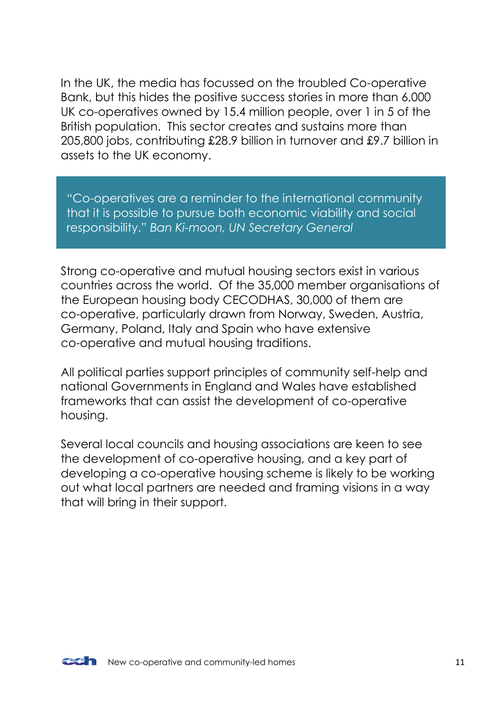In the UK, the media has focussed on the troubled Co-operative Bank, but this hides the positive success stories in more than 6,000 UK co-operatives owned by 15.4 million people, over 1 in 5 of the British population. This sector creates and sustains more than 205,800 jobs, contributing £28.9 billion in turnover and £9.7 billion in assets to the UK economy.

"Co-operatives are a reminder to the international community that it is possible to pursue both economic viability and social responsibility." *Ban Ki-moon, UN Secretary General*

Strong co-operative and mutual housing sectors exist in various countries across the world. Of the 35,000 member organisations of the European housing body CECODHAS, 30,000 of them are co-operative, particularly drawn from Norway, Sweden, Austria, Germany, Poland, Italy and Spain who have extensive co-operative and mutual housing traditions.

All political parties support principles of community self-help and national Governments in England and Wales have established frameworks that can assist the development of co-operative housing.

Several local councils and housing associations are keen to see the development of co-operative housing, and a key part of developing a co-operative housing scheme is likely to be working out what local partners are needed and framing visions in a way that will bring in their support.

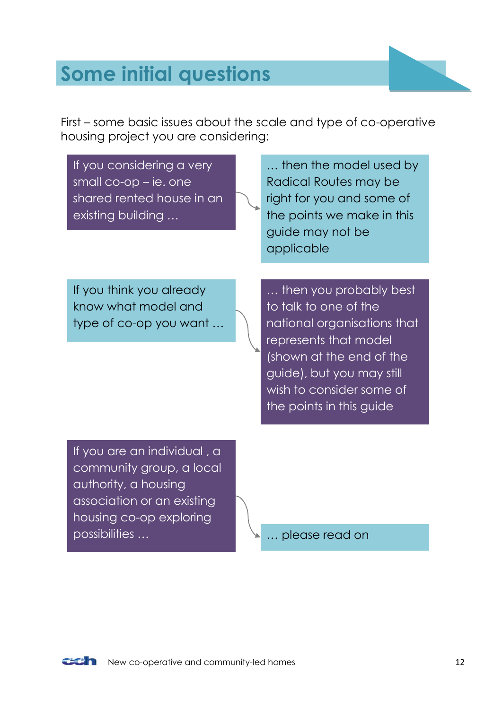# <span id="page-11-0"></span>**Some initial questions**

First – some basic issues about the scale and type of co-operative housing project you are considering:

| If you considering a very<br>small $co$ -op – ie. one<br>shared rented house in an<br>existing building       | then the model used by<br>Radical Routes may be<br>right for you and some of<br>the points we make in this<br>guide may not be<br>applicable                                                                             |
|---------------------------------------------------------------------------------------------------------------|--------------------------------------------------------------------------------------------------------------------------------------------------------------------------------------------------------------------------|
| If you think you already<br>know what model and<br>type of co-op you want                                     | then you probably best<br>to talk to one of the<br>national organisations that<br>represents that model<br>(shown at the end of the<br>guide), but you may still<br>wish to consider some of<br>the points in this guide |
| If you are an individual, a<br>community group, a local<br>authority, a housing<br>association or an existing |                                                                                                                                                                                                                          |

possibilities … … please read on

housing co-op exploring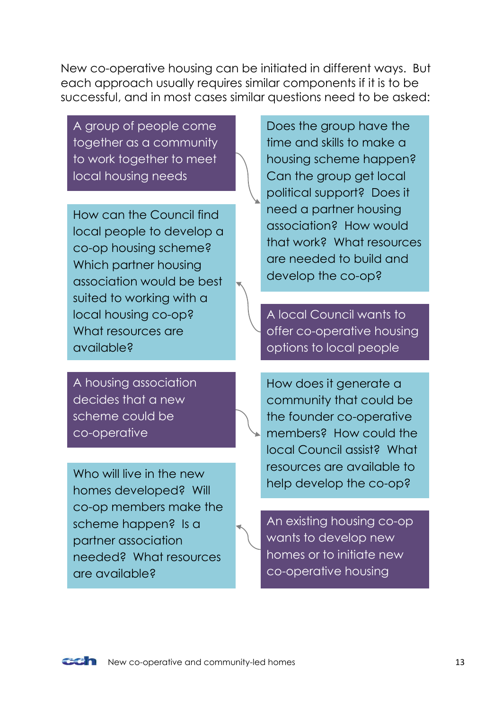New co-operative housing can be initiated in different ways. But each approach usually requires similar components if it is to be successful, and in most cases similar questions need to be asked:

A group of people come together as a community to work together to meet local housing needs

How can the Council find local people to develop a co-op housing scheme? Which partner housing association would be best suited to working with a local housing co-op? What resources are available?

A housing association decides that a new scheme could be co-operative

Who will live in the new homes developed? Will co-op members make the scheme happen? Is a partner association needed? What resources are available?

Does the group have the time and skills to make a housing scheme happen? Can the group get local political support? Does it need a partner housing association? How would that work? What resources are needed to build and develop the co-op?

A local Council wants to offer co-operative housing options to local people

How does it generate a community that could be the founder co-operative members? How could the local Council assist? What resources are available to help develop the co-op?

An existing housing co-op wants to develop new homes or to initiate new co-operative housing

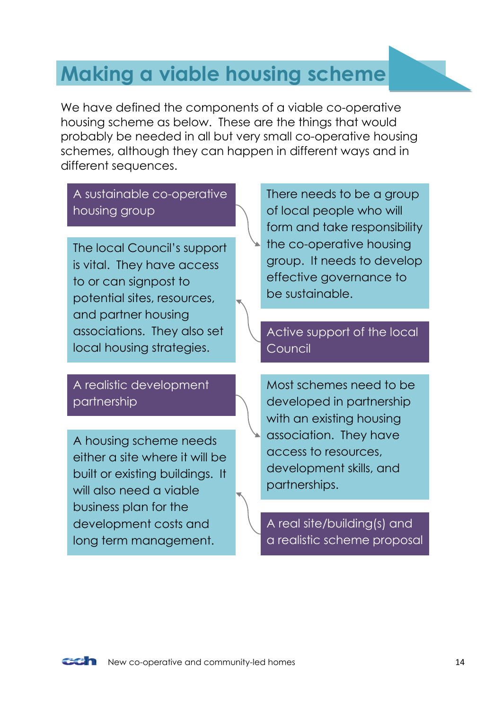# <span id="page-13-0"></span>**Making a viable housing scheme**

We have defined the components of a viable co-operative housing scheme as below. These are the things that would probably be needed in all but very small co-operative housing schemes, although they can happen in different ways and in different sequences.

## A sustainable co-operative housing group

The local Council's support is vital. They have access to or can signpost to potential sites, resources, and partner housing associations. They also set local housing strategies.

### A realistic development partnership

A housing scheme needs either a site where it will be built or existing buildings. It will also need a viable business plan for the development costs and long term management.

There needs to be a group of local people who will form and take responsibility the co-operative housing group. It needs to develop effective governance to be sustainable.

### Active support of the local Council

Most schemes need to be developed in partnership with an existing housing association. They have access to resources, development skills, and partnerships.

A real site/building(s) and a realistic scheme proposal

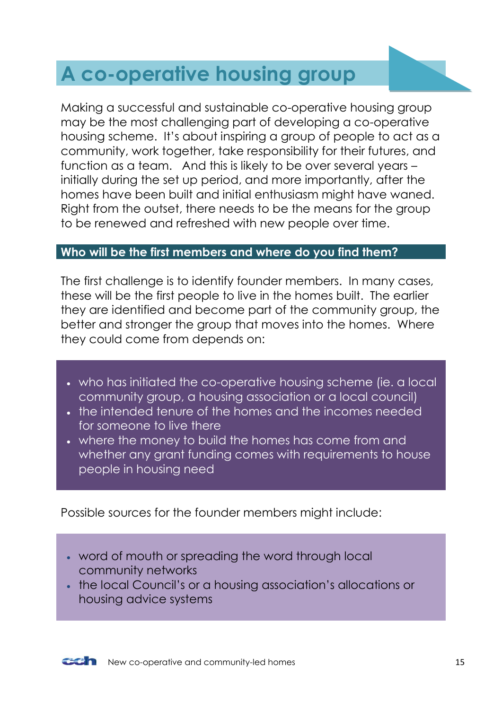# <span id="page-14-0"></span>**A co-operative housing group**

Making a successful and sustainable co-operative housing group may be the most challenging part of developing a co-operative housing scheme. It's about inspiring a group of people to act as a community, work together, take responsibility for their futures, and function as a team. And this is likely to be over several years – initially during the set up period, and more importantly, after the homes have been built and initial enthusiasm might have waned. Right from the outset, there needs to be the means for the group to be renewed and refreshed with new people over time.

### <span id="page-14-1"></span>**Who will be the first members and where do you find them?**

The first challenge is to identify founder members. In many cases, these will be the first people to live in the homes built. The earlier they are identified and become part of the community group, the better and stronger the group that moves into the homes. Where they could come from depends on:

- who has initiated the co-operative housing scheme (ie. a local community group, a housing association or a local council)
- the intended tenure of the homes and the incomes needed for someone to live there
- where the money to build the homes has come from and whether any grant funding comes with requirements to house people in housing need

Possible sources for the founder members might include:

- word of mouth or spreading the word through local community networks
- the local Council's or a housing association's allocations or housing advice systems

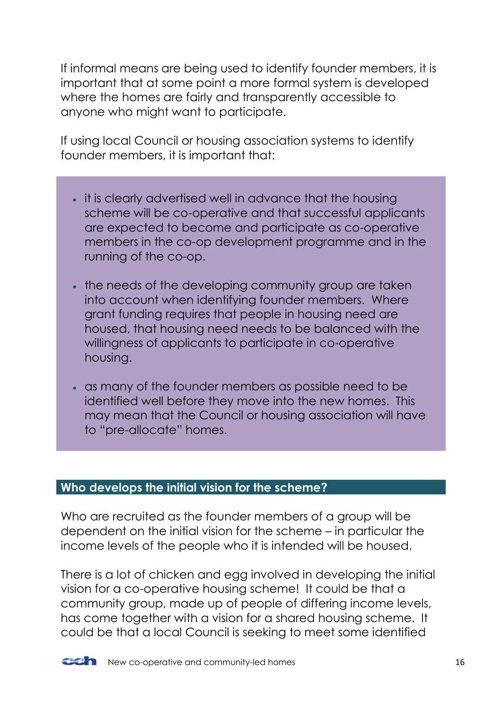If informal means are being used to identify founder members, it is important that at some point a more formal system is developed where the homes are fairly and transparently accessible to anyone who might want to participate.

If using local Council or housing association systems to identify founder members, it is important that:

- it is clearly advertised well in advance that the housing scheme will be co-operative and that successful applicants are expected to become and participate as co-operative members in the co-op development programme and in the running of the co-op.
- . the needs of the developing community group are taken into account when identifying founder members. Where grant funding requires that people in housing need are housed, that housing need needs to be balanced with the willingness of applicants to participate in co-operative housing.
- as many of the founder members as possible need to be identified well before they move into the new homes. This may mean that the Council or housing association will have to "pre-allocate" homes.

### <span id="page-15-0"></span>**Who develops the initial vision for the scheme?**

Who are recruited as the founder members of a group will be dependent on the initial vision for the scheme – in particular the income levels of the people who it is intended will be housed.

There is a lot of chicken and egg involved in developing the initial vision for a co-operative housing scheme! It could be that a community group, made up of people of differing income levels, has come together with a vision for a shared housing scheme. It could be that a local Council is seeking to meet some identified

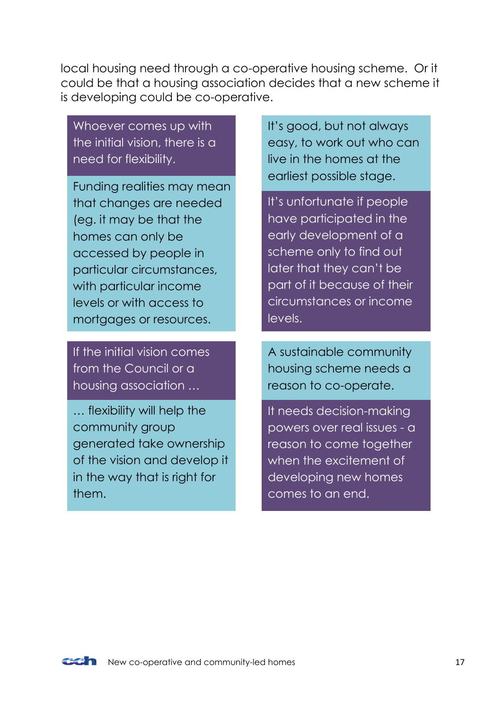local housing need through a co-operative housing scheme. Or it could be that a housing association decides that a new scheme it is developing could be co-operative.

Whoever comes up with the initial vision, there is a need for flexibility.

Funding realities may mean that changes are needed (eg. it may be that the homes can only be accessed by people in particular circumstances, with particular income levels or with access to mortgages or resources.

If the initial vision comes from the Council or a housing association …

… flexibility will help the community group generated take ownership of the vision and develop it in the way that is right for them.

It's good, but not always easy, to work out who can live in the homes at the earliest possible stage.

It's unfortunate if people have participated in the early development of a scheme only to find out later that they can't be part of it because of their circumstances or income levels.

A sustainable community housing scheme needs a reason to co-operate.

It needs decision-making powers over real issues - a reason to come together when the excitement of developing new homes comes to an end.

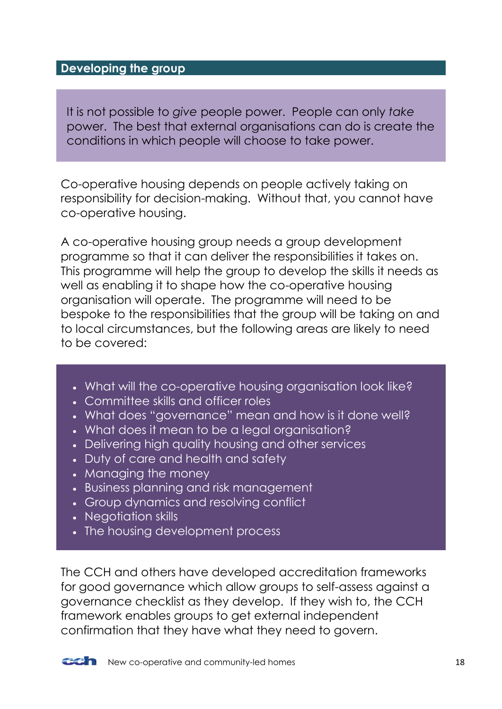### <span id="page-17-0"></span>**Developing the group**

It is not possible to *give* people power. People can only *take*  power. The best that external organisations can do is create the conditions in which people will choose to take power.

Co-operative housing depends on people actively taking on responsibility for decision-making. Without that, you cannot have co-operative housing.

A co-operative housing group needs a group development programme so that it can deliver the responsibilities it takes on. This programme will help the group to develop the skills it needs as well as enabling it to shape how the co-operative housing organisation will operate. The programme will need to be bespoke to the responsibilities that the group will be taking on and to local circumstances, but the following areas are likely to need to be covered:

- . What will the co-operative housing organisation look like?
- Committee skills and officer roles
- What does "governance" mean and how is it done well?
- What does it mean to be a legal organisation?
- Delivering high quality housing and other services
- Duty of care and health and safety
- Managing the money
- Business planning and risk management
- Group dynamics and resolving conflict
- Negotiation skills
- The housing development process

The CCH and others have developed accreditation frameworks for good governance which allow groups to self-assess against a governance checklist as they develop. If they wish to, the CCH framework enables groups to get external independent confirmation that they have what they need to govern.



**COM** New co-operative and community-led homes 18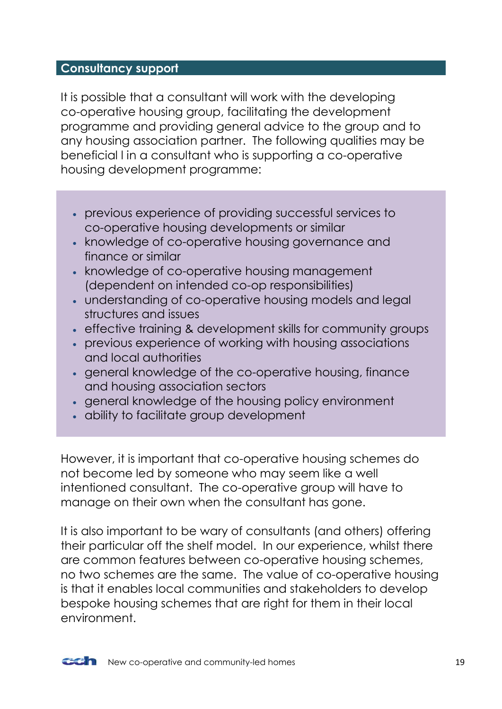### <span id="page-18-0"></span>**Consultancy support**

It is possible that a consultant will work with the developing co-operative housing group, facilitating the development programme and providing general advice to the group and to any housing association partner. The following qualities may be beneficial l in a consultant who is supporting a co-operative housing development programme:

- previous experience of providing successful services to co-operative housing developments or similar
- knowledge of co-operative housing governance and finance or similar
- knowledge of co-operative housing management (dependent on intended co-op responsibilities)
- understanding of co-operative housing models and legal structures and issues
- effective training & development skills for community groups
- previous experience of working with housing associations and local authorities
- general knowledge of the co-operative housing, finance and housing association sectors
- aeneral knowledge of the housing policy environment
- ability to facilitate group development

However, it is important that co-operative housing schemes do not become led by someone who may seem like a well intentioned consultant. The co-operative group will have to manage on their own when the consultant has gone.

It is also important to be wary of consultants (and others) offering their particular off the shelf model. In our experience, whilst there are common features between co-operative housing schemes, no two schemes are the same. The value of co-operative housing is that it enables local communities and stakeholders to develop bespoke housing schemes that are right for them in their local environment.

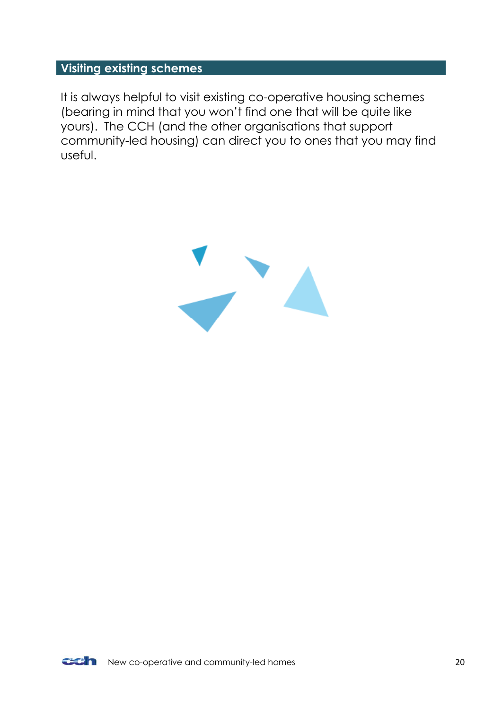### <span id="page-19-0"></span>**Visiting existing schemes**

It is always helpful to visit existing co-operative housing schemes (bearing in mind that you won't find one that will be quite like yours). The CCH (and the other organisations that support community-led housing) can direct you to ones that you may find useful.

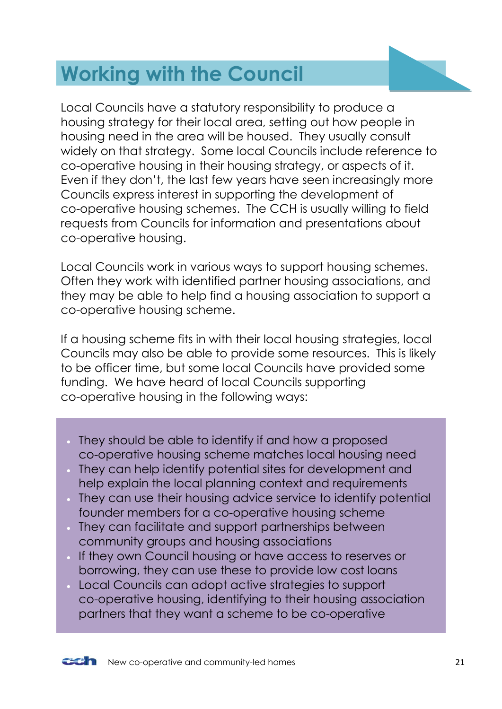# <span id="page-20-0"></span>**Working with the Council**

Local Councils have a statutory responsibility to produce a housing strategy for their local area, setting out how people in housing need in the area will be housed. They usually consult widely on that strategy. Some local Councils include reference to co-operative housing in their housing strategy, or aspects of it. Even if they don't, the last few years have seen increasingly more Councils express interest in supporting the development of co-operative housing schemes. The CCH is usually willing to field requests from Councils for information and presentations about co-operative housing.

Local Councils work in various ways to support housing schemes. Often they work with identified partner housing associations, and they may be able to help find a housing association to support a co-operative housing scheme.

If a housing scheme fits in with their local housing strategies, local Councils may also be able to provide some resources. This is likely to be officer time, but some local Councils have provided some funding. We have heard of local Councils supporting co-operative housing in the following ways:

- They should be able to identify if and how a proposed co-operative housing scheme matches local housing need
- They can help identify potential sites for development and help explain the local planning context and requirements
- They can use their housing advice service to identify potential founder members for a co-operative housing scheme
- They can facilitate and support partnerships between community groups and housing associations
- If they own Council housing or have access to reserves or borrowing, they can use these to provide low cost loans
- Local Councils can adopt active strategies to support co-operative housing, identifying to their housing association partners that they want a scheme to be co-operative

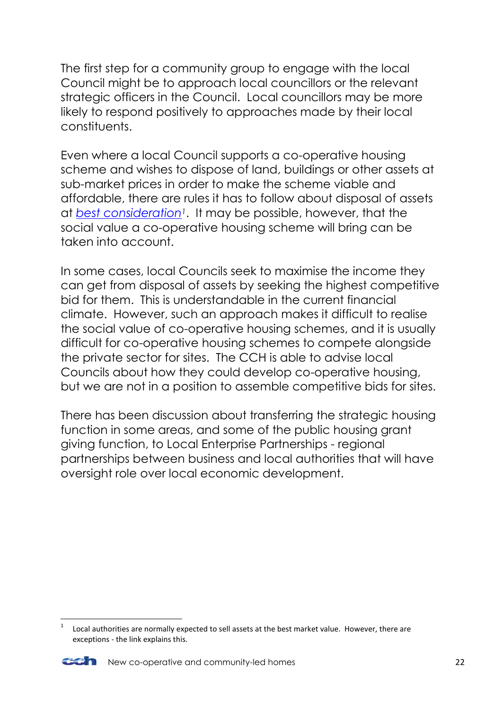The first step for a community group to engage with the local Council might be to approach local councillors or the relevant strategic officers in the Council. Local councillors may be more likely to respond positively to approaches made by their local constituents.

Even where a local Council supports a co-operative housing scheme and wishes to dispose of land, buildings or other assets at sub-market prices in order to make the scheme viable and affordable, there are rules it has to follow about disposal of assets at *[best consideration](http://www.rics.org/uk/knowledge/more-services/guides-advice/local-authority-asset-management/local-authority-asset-management-07-disposal-of-land-at-less-than-best-consideration/)1*. It may be possible, however, that the social value a co-operative housing scheme will bring can be taken into account.

In some cases, local Councils seek to maximise the income they can get from disposal of assets by seeking the highest competitive bid for them. This is understandable in the current financial climate. However, such an approach makes it difficult to realise the social value of co-operative housing schemes, and it is usually difficult for co-operative housing schemes to compete alongside the private sector for sites. The CCH is able to advise local Councils about how they could develop co-operative housing, but we are not in a position to assemble competitive bids for sites.

There has been discussion about transferring the strategic housing function in some areas, and some of the public housing grant giving function, to Local Enterprise Partnerships - regional partnerships between business and local authorities that will have oversight role over local economic development.

<sup>1</sup> Local authorities are normally expected to sell assets at the best market value. However, there are exceptions - the link explains this.



**.**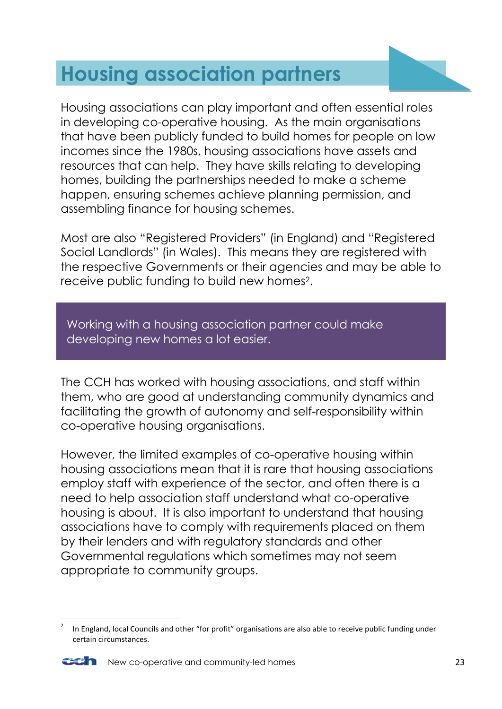# <span id="page-22-0"></span>**Housing association partners**

Housing associations can play important and often essential roles in developing co-operative housing. As the main organisations that have been publicly funded to build homes for people on low incomes since the 1980s, housing associations have assets and resources that can help. They have skills relating to developing homes, building the partnerships needed to make a scheme happen, ensuring schemes achieve planning permission, and assembling finance for housing schemes.

Most are also "Registered Providers" (in England) and "Registered Social Landlords" (in Wales). This means they are registered with the respective Governments or their agencies and may be able to receive public funding to build new homes2.

Working with a housing association partner could make developing new homes a lot easier.

The CCH has worked with housing associations, and staff within them, who are good at understanding community dynamics and facilitating the growth of autonomy and self-responsibility within co-operative housing organisations.

However, the limited examples of co-operative housing within housing associations mean that it is rare that housing associations employ staff with experience of the sector, and often there is a need to help association staff understand what co-operative housing is about. It is also important to understand that housing associations have to comply with requirements placed on them by their lenders and with regulatory standards and other Governmental regulations which sometimes may not seem appropriate to community groups.

**<sup>.</sup>** 2 In England, local Councils and other "for profit" organisations are also able to receive public funding under certain circumstances.

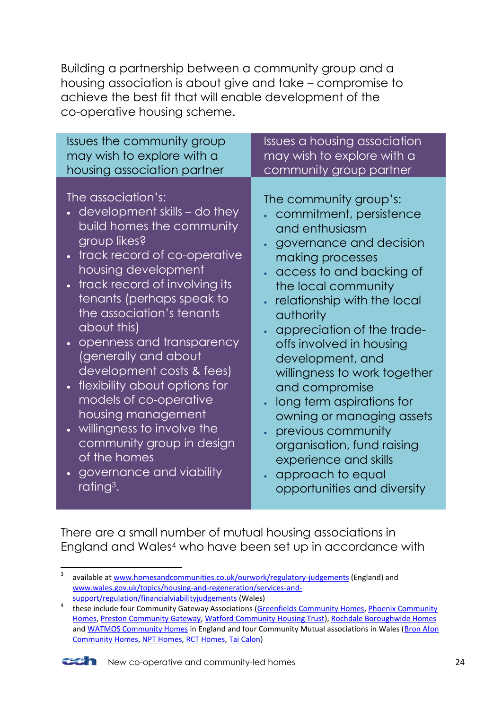Building a partnership between a community group and a housing association is about give and take – compromise to achieve the best fit that will enable development of the co-operative housing scheme.

| Issues the community group                                                                                                                                                                                                                                                                                                                                                                                                                                                                                                                                                          | <b>Issues</b> a housing association                                                                                                                                                                                                                                                                                                                                                                                                                                                                                                                       |
|-------------------------------------------------------------------------------------------------------------------------------------------------------------------------------------------------------------------------------------------------------------------------------------------------------------------------------------------------------------------------------------------------------------------------------------------------------------------------------------------------------------------------------------------------------------------------------------|-----------------------------------------------------------------------------------------------------------------------------------------------------------------------------------------------------------------------------------------------------------------------------------------------------------------------------------------------------------------------------------------------------------------------------------------------------------------------------------------------------------------------------------------------------------|
| may wish to explore with a                                                                                                                                                                                                                                                                                                                                                                                                                                                                                                                                                          | may wish to explore with a                                                                                                                                                                                                                                                                                                                                                                                                                                                                                                                                |
| housing association partner                                                                                                                                                                                                                                                                                                                                                                                                                                                                                                                                                         | community group partner                                                                                                                                                                                                                                                                                                                                                                                                                                                                                                                                   |
| The association's:<br>$\bullet$ development skills – do they<br>build homes the community<br>group likes?<br>• track record of co-operative<br>housing development<br>track record of involving its<br>tenants (perhaps speak to<br>the association's tenants<br>about this)<br>openness and transparency<br>(generally and about<br>development costs & fees)<br>• flexibility about options for<br>models of co-operative<br>housing management<br>• willingness to involve the<br>community group in design<br>of the homes<br>governance and viability<br>rating <sup>3</sup> . | The community group's:<br>commitment, persistence<br>and enthusiasm<br>governance and decision<br>making processes<br>access to and backing of<br>$\bullet$<br>the local community<br>relationship with the local<br>authority<br>appreciation of the trade-<br>offs involved in housing<br>development, and<br>willingness to work together<br>and compromise<br>long term aspirations for<br>owning or managing assets<br>previous community<br>organisation, fund raising<br>experience and skills<br>approach to equal<br>opportunities and diversity |

There are a small number of mutual housing associations in England and Wales<sup>4</sup> who have been set up in accordance with

<sup>&</sup>lt;sup>4</sup> these include four Community Gateway Associations [\(Greenfields Community Homes,](http://www.greenfieldsch.org.uk/) Phoenix Community [Homes,](http://phoenixch.org.uk/) [Preston Community Gateway,](http://www.communitygateway.co.uk/) [Watford Community Housing Trust\)](http://www.wcht.org.uk/), [Rochdale Boroughwide Homes](http://www.rbhousing.org.uk/) and [WATMOS Community Homes](http://www.watmos.org.uk/) in England and four Community Mutual associations in Wales (Bron Afon [Community](http://www.bronafon.org.uk/) Homes, [NPT Homes,](http://www.npthomes.co.uk/) [RCT Homes,](http://www.rcthomes.co.uk/main.cfm) [Tai Calon\)](http://www.taicalon.org/)



<sup>-&</sup>lt;br>3 available at [www.homesandcommunities.co.uk/ourwork/regulatory-judgements](http://www.homesandcommunities.co.uk/ourwork/regulatory-judgements) (England) and [www.wales.gov.uk/topics/housing-and-regeneration/services-and](http://www.wales.gov.uk/topics/housing-and-regeneration/services-and-support/regulation/financialviabilityjudgements)[support/regulation/financialviabilityjudgements](http://www.wales.gov.uk/topics/housing-and-regeneration/services-and-support/regulation/financialviabilityjudgements) (Wales)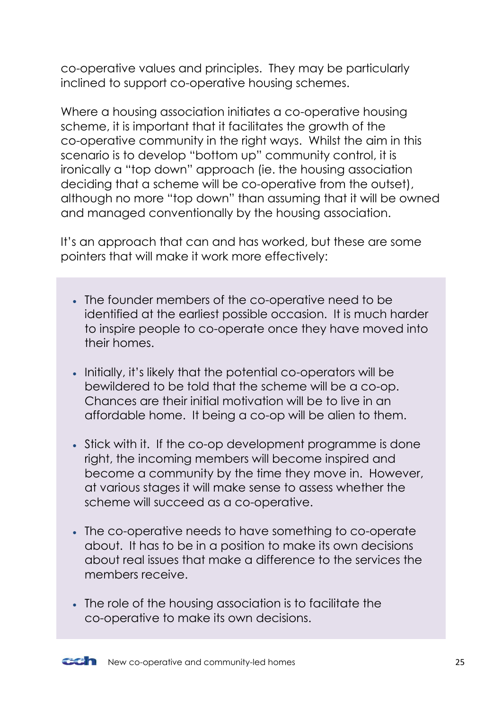co-operative values and principles. They may be particularly inclined to support co-operative housing schemes.

Where a housing association initiates a co-operative housing scheme, it is important that it facilitates the growth of the co-operative community in the right ways. Whilst the aim in this scenario is to develop "bottom up" community control, it is ironically a "top down" approach (ie. the housing association deciding that a scheme will be co-operative from the outset), although no more "top down" than assuming that it will be owned and managed conventionally by the housing association.

It's an approach that can and has worked, but these are some pointers that will make it work more effectively:

- The founder members of the co-operative need to be identified at the earliest possible occasion. It is much harder to inspire people to co-operate once they have moved into their homes.
- Initially, it's likely that the potential co-operators will be bewildered to be told that the scheme will be a co-op. Chances are their initial motivation will be to live in an affordable home. It being a co-op will be alien to them.
- Stick with it. If the co-op development programme is done right, the incoming members will become inspired and become a community by the time they move in. However, at various stages it will make sense to assess whether the scheme will succeed as a co-operative.
- The co-operative needs to have something to co-operate about. It has to be in a position to make its own decisions about real issues that make a difference to the services the members receive.
- The role of the housing association is to facilitate the co-operative to make its own decisions.

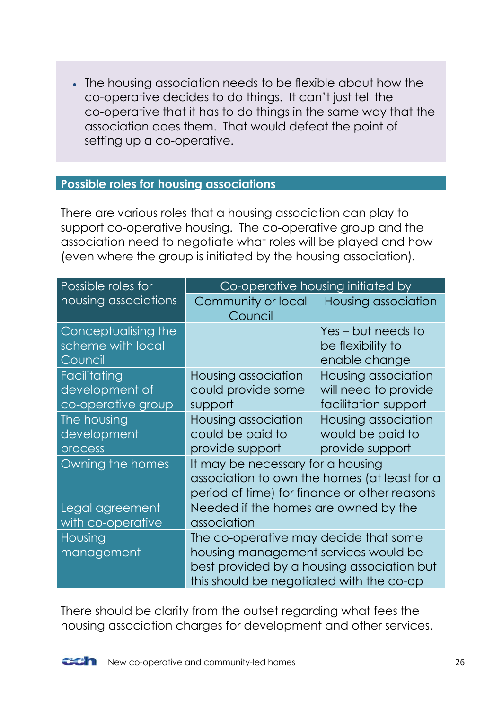The housing association needs to be flexible about how the co-operative decides to do things. It can't just tell the co-operative that it has to do things in the same way that the association does them. That would defeat the point of setting up a co-operative.

### <span id="page-25-0"></span>**Possible roles for housing associations**

There are various roles that a housing association can play to support co-operative housing. The co-operative group and the association need to negotiate what roles will be played and how (even where the group is initiated by the housing association).

| Possible roles for                                   | Co-operative housing initiated by                                                                                                                                       |                                                                     |  |
|------------------------------------------------------|-------------------------------------------------------------------------------------------------------------------------------------------------------------------------|---------------------------------------------------------------------|--|
| housing associations                                 | Community or local<br>Council                                                                                                                                           | Housing association                                                 |  |
| Conceptualising the<br>scheme with local<br>Council  |                                                                                                                                                                         | Yes-but needs to<br>be flexibility to<br>enable change              |  |
| Facilitating<br>development of<br>co-operative group | Housing association<br>could provide some<br>support                                                                                                                    | Housing association<br>will need to provide<br>facilitation support |  |
| The housing<br>development<br>process                | Housing association<br>could be paid to<br>provide support                                                                                                              | Housing association<br>would be paid to<br>provide support          |  |
| Owning the homes                                     | It may be necessary for a housing<br>association to own the homes (at least for a<br>period of time) for finance or other reasons                                       |                                                                     |  |
| Legal agreement<br>with co-operative                 | Needed if the homes are owned by the<br>association                                                                                                                     |                                                                     |  |
| Housing<br>management                                | The co-operative may decide that some<br>housing management services would be<br>best provided by a housing association but<br>this should be negotiated with the co-op |                                                                     |  |

There should be clarity from the outset regarding what fees the housing association charges for development and other services.

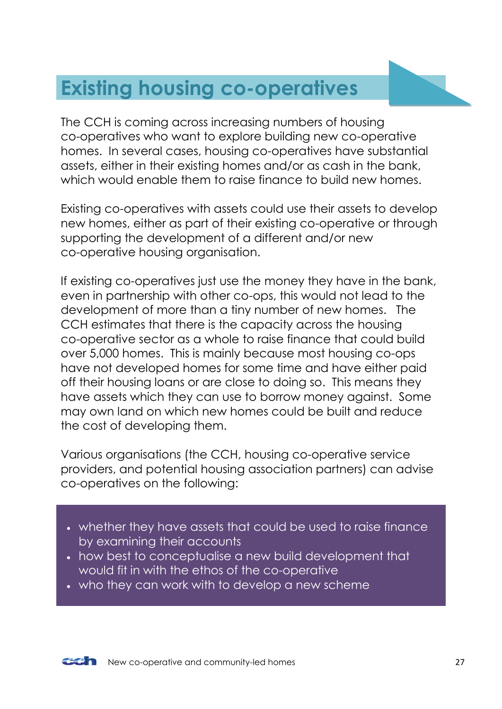# <span id="page-26-0"></span>**Existing housing co-operatives**

The CCH is coming across increasing numbers of housing co-operatives who want to explore building new co-operative homes. In several cases, housing co-operatives have substantial assets, either in their existing homes and/or as cash in the bank, which would enable them to raise finance to build new homes.

Existing co-operatives with assets could use their assets to develop new homes, either as part of their existing co-operative or through supporting the development of a different and/or new co-operative housing organisation.

If existing co-operatives just use the money they have in the bank, even in partnership with other co-ops, this would not lead to the development of more than a tiny number of new homes. The CCH estimates that there is the capacity across the housing co-operative sector as a whole to raise finance that could build over 5,000 homes. This is mainly because most housing co-ops have not developed homes for some time and have either paid off their housing loans or are close to doing so. This means they have assets which they can use to borrow money against. Some may own land on which new homes could be built and reduce the cost of developing them.

Various organisations (the CCH, housing co-operative service providers, and potential housing association partners) can advise co-operatives on the following:

- whether they have assets that could be used to raise finance by examining their accounts
- how best to conceptualise a new build development that would fit in with the ethos of the co-operative
- who they can work with to develop a new scheme

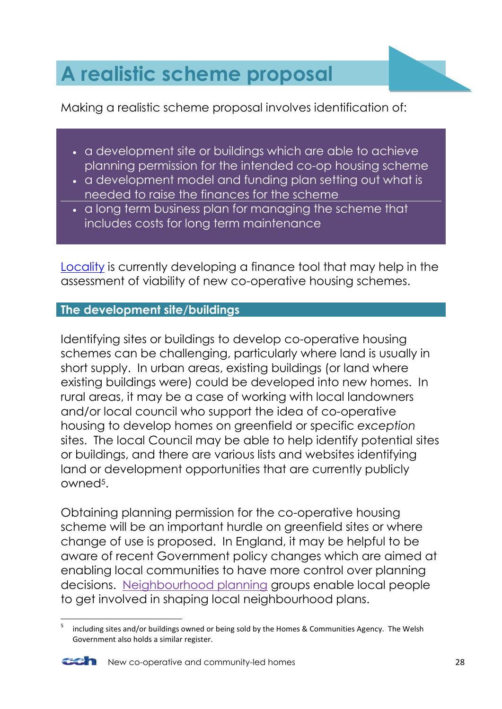# <span id="page-27-0"></span>**A realistic scheme proposal**

Making a realistic scheme proposal involves identification of:

- a development site or buildings which are able to achieve planning permission for the intended co-op housing scheme
- a development model and funding plan setting out what is needed to raise the finances for the scheme
- a long term business plan for managing the scheme that includes costs for long term maintenance

[Locality](http://locality.org.uk/) is currently developing a finance tool that may help in the assessment of viability of new co-operative housing schemes.

### <span id="page-27-1"></span>**The development site/buildings**

Identifying sites or buildings to develop co-operative housing schemes can be challenging, particularly where land is usually in short supply. In urban areas, existing buildings (or land where existing buildings were) could be developed into new homes. In rural areas, it may be a case of working with local landowners and/or local council who support the idea of co-operative housing to develop homes on greenfield or specific *exception*  sites. The local Council may be able to help identify potential sites or buildings, and there are various lists and websites identifying land or development opportunities that are currently publicly owned5.

Obtaining planning permission for the co-operative housing scheme will be an important hurdle on greenfield sites or where change of use is proposed. In England, it may be helpful to be aware of recent Government policy changes which are aimed at enabling local communities to have more control over planning decisions. [Neighbourhood planning](https://www.gov.uk/government/policies/giving-communities-more-power-in-planning-local-development/supporting-pages/neighbourhood-planning) groups enable local people to get involved in shaping local neighbourhood plans.

**<sup>.</sup>** 5 including sites and/or buildings owned or being sold by the Homes & Communities Agency. The Welsh Government also holds a similar register.



New co-operative and community-led homes 28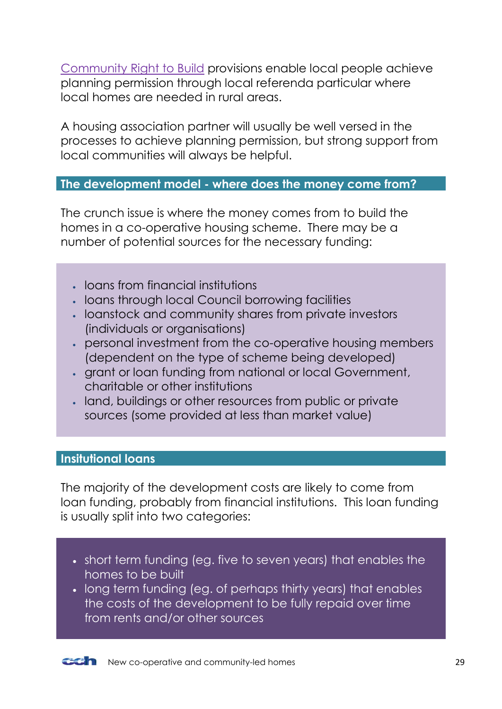[Community Right to Build](https://www.gov.uk/government/policies/giving-people-more-power-over-what-happens-in-their-neighbourhood/supporting-pages/community-right-to-build) provisions enable local people achieve planning permission through local referenda particular where local homes are needed in rural areas.

A housing association partner will usually be well versed in the processes to achieve planning permission, but strong support from local communities will always be helpful.

### <span id="page-28-0"></span>**The development model - where does the money come from?**

The crunch issue is where the money comes from to build the homes in a co-operative housing scheme. There may be a number of potential sources for the necessary funding:

- loans from financial institutions
- loans through local Council borrowing facilities
- loanstock and community shares from private investors (individuals or organisations)
- personal investment from the co-operative housing members (dependent on the type of scheme being developed)
- grant or loan funding from national or local Government, charitable or other institutions
- land, buildings or other resources from public or private sources (some provided at less than market value)

### <span id="page-28-1"></span>**Insitutional loans**

The majority of the development costs are likely to come from loan funding, probably from financial institutions. This loan funding is usually split into two categories:

- short term funding (eg. five to seven years) that enables the homes to be built
- long term funding (eg. of perhaps thirty years) that enables the costs of the development to be fully repaid over time from rents and/or other sources

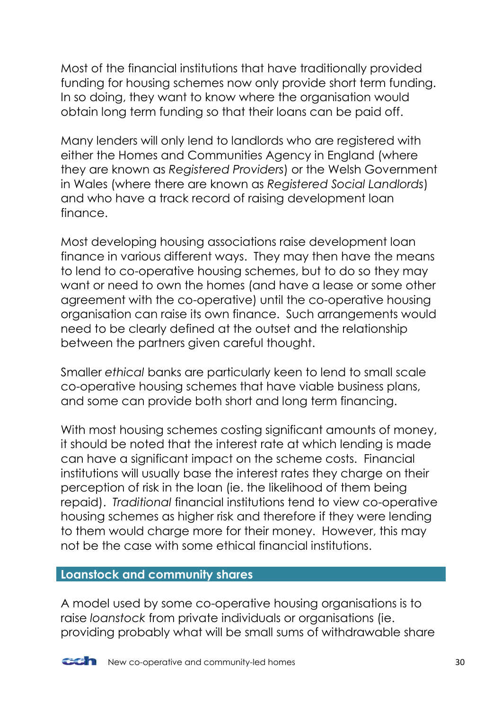Most of the financial institutions that have traditionally provided funding for housing schemes now only provide short term funding. In so doing, they want to know where the organisation would obtain long term funding so that their loans can be paid off.

Many lenders will only lend to landlords who are registered with either the Homes and Communities Agency in England (where they are known as *Registered Providers*) or the Welsh Government in Wales (where there are known as *Registered Social Landlords*) and who have a track record of raising development loan finance.

Most developing housing associations raise development loan finance in various different ways. They may then have the means to lend to co-operative housing schemes, but to do so they may want or need to own the homes (and have a lease or some other agreement with the co-operative) until the co-operative housing organisation can raise its own finance. Such arrangements would need to be clearly defined at the outset and the relationship between the partners given careful thought.

Smaller *ethical* banks are particularly keen to lend to small scale co-operative housing schemes that have viable business plans, and some can provide both short and long term financing.

With most housing schemes costing significant amounts of money, it should be noted that the interest rate at which lending is made can have a significant impact on the scheme costs. Financial institutions will usually base the interest rates they charge on their perception of risk in the loan (ie. the likelihood of them being repaid). *Traditional* financial institutions tend to view co-operative housing schemes as higher risk and therefore if they were lending to them would charge more for their money. However, this may not be the case with some ethical financial institutions.

### <span id="page-29-0"></span>**Loanstock and community shares**

A model used by some co-operative housing organisations is to raise *loanstock* from private individuals or organisations (ie. providing probably what will be small sums of withdrawable share

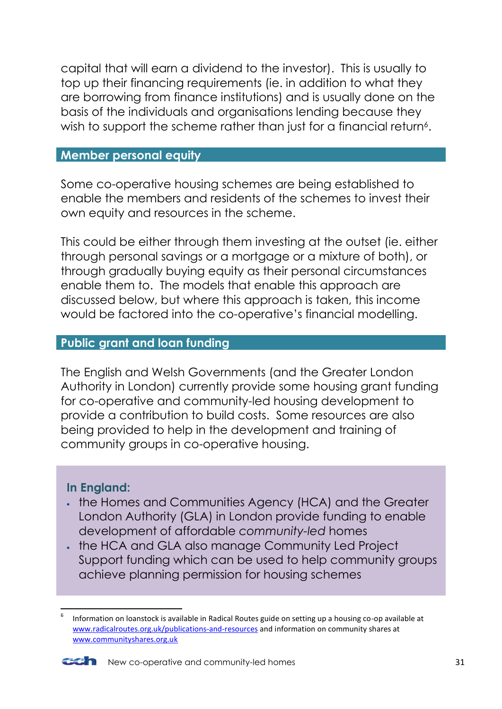capital that will earn a dividend to the investor). This is usually to top up their financing requirements (ie. in addition to what they are borrowing from finance institutions) and is usually done on the basis of the individuals and organisations lending because they wish to support the scheme rather than just for a financial return<sup>6</sup>.

### <span id="page-30-0"></span>**Member personal equity**

Some co-operative housing schemes are being established to enable the members and residents of the schemes to invest their own equity and resources in the scheme.

This could be either through them investing at the outset (ie. either through personal savings or a mortgage or a mixture of both), or through gradually buying equity as their personal circumstances enable them to. The models that enable this approach are discussed below, but where this approach is taken, this income would be factored into the co-operative's financial modelling.

#### <span id="page-30-1"></span>**Public grant and loan funding**

The English and Welsh Governments (and the Greater London Authority in London) currently provide some housing grant funding for co-operative and community-led housing development to provide a contribution to build costs. Some resources are also being provided to help in the development and training of community groups in co-operative housing.

### **In England:**

- . the Homes and Communities Agency (HCA) and the Greater London Authority (GLA) in London provide funding to enable development of affordable *community-led* homes
- . the HCA and GLA also manage Community Led Project Support funding which can be used to help community groups achieve planning permission for housing schemes

<sup>6</sup> Information on loanstock is available in Radical Routes guide on setting up a housing co-op available at [www.radicalroutes.org.uk/publications-and-resources](http://www.radicalroutes.org.uk/publications-and-resources) and information on community shares at [www.communityshares.org.uk](http://www.communityshares.org.uk/)



**.**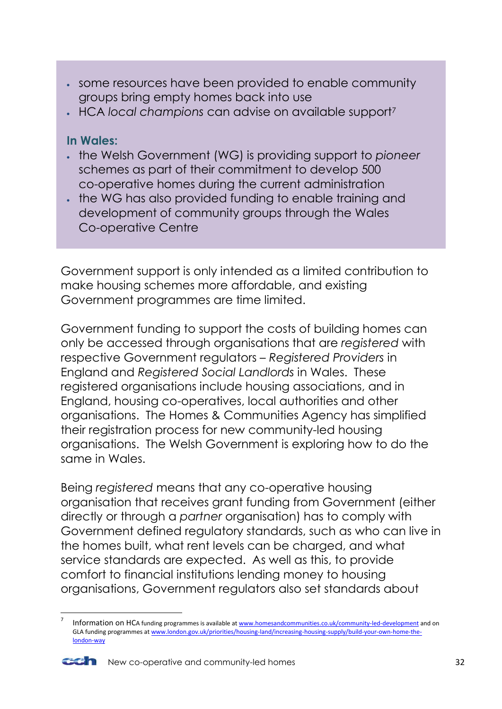- some resources have been provided to enable community groups bring empty homes back into use
- HCA *local champions* can advise on available support<sup>7</sup>

### **In Wales:**

- the Welsh Government (WG) is providing support to *pioneer*  schemes as part of their commitment to develop 500 co-operative homes during the current administration
- . the WG has also provided funding to enable training and development of community groups through the Wales Co-operative Centre

Government support is only intended as a limited contribution to make housing schemes more affordable, and existing Government programmes are time limited.

Government funding to support the costs of building homes can only be accessed through organisations that are *registered* with respective Government regulators – *Registered Providers* in England and *Registered Social Landlords* in Wales. These registered organisations include housing associations, and in England, housing co-operatives, local authorities and other organisations. The Homes & Communities Agency has simplified their registration process for new community-led housing organisations. The Welsh Government is exploring how to do the same in Wales.

Being *registered* means that any co-operative housing organisation that receives grant funding from Government (either directly or through a *partner* organisation) has to comply with Government defined regulatory standards, such as who can live in the homes built, what rent levels can be charged, and what service standards are expected. As well as this, to provide comfort to financial institutions lending money to housing organisations, Government regulators also set standards about

<sup>7</sup> Information on HCA funding programmes is available a[t www.homesandcommunities.co.uk/community-led-development](http://www.homesandcommunities.co.uk/community-led-development) and on GLA funding programmes a[t www.london.gov.uk/priorities/housing-land/increasing-housing-supply/build-your-own-home-the](http://www.london.gov.uk/priorities/housing-land/increasing-housing-supply/build-your-own-home-the-london-way)[london-way](http://www.london.gov.uk/priorities/housing-land/increasing-housing-supply/build-your-own-home-the-london-way)



 $\overline{a}$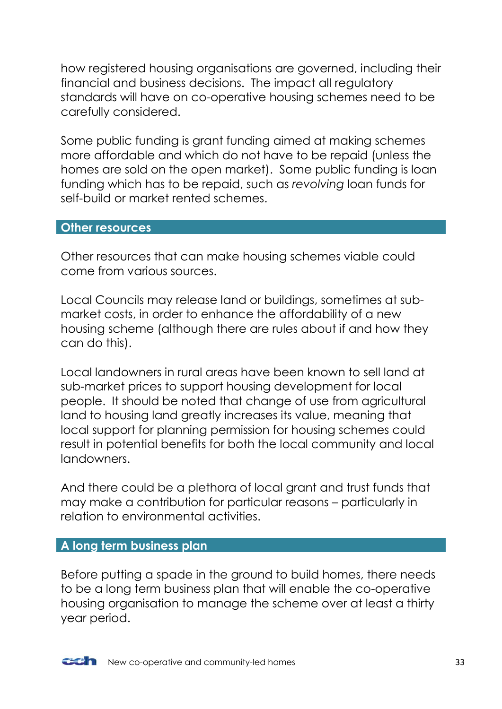how registered housing organisations are governed, including their financial and business decisions. The impact all regulatory standards will have on co-operative housing schemes need to be carefully considered.

Some public funding is grant funding aimed at making schemes more affordable and which do not have to be repaid (unless the homes are sold on the open market). Some public funding is loan funding which has to be repaid, such as *revolving* loan funds for self-build or market rented schemes.

#### <span id="page-32-0"></span>**Other resources**

Other resources that can make housing schemes viable could come from various sources.

Local Councils may release land or buildings, sometimes at submarket costs, in order to enhance the affordability of a new housing scheme (although there are rules about if and how they can do this).

Local landowners in rural areas have been known to sell land at sub-market prices to support housing development for local people. It should be noted that change of use from agricultural land to housing land greatly increases its value, meaning that local support for planning permission for housing schemes could result in potential benefits for both the local community and local landowners.

And there could be a plethora of local grant and trust funds that may make a contribution for particular reasons – particularly in relation to environmental activities.

#### <span id="page-32-1"></span>**A long term business plan**

Before putting a spade in the ground to build homes, there needs to be a long term business plan that will enable the co-operative housing organisation to manage the scheme over at least a thirty year period.

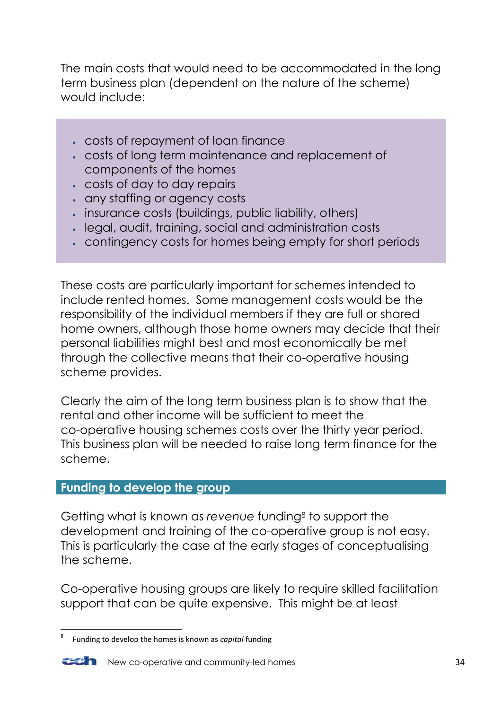The main costs that would need to be accommodated in the long term business plan (dependent on the nature of the scheme) would include:

- costs of repayment of loan finance
- costs of long term maintenance and replacement of components of the homes
- costs of day to day repairs
- any staffing or agency costs
- insurance costs (buildings, public liability, others)
- legal, audit, training, social and administration costs
- contingency costs for homes being empty for short periods

These costs are particularly important for schemes intended to include rented homes. Some management costs would be the responsibility of the individual members if they are full or shared home owners, although those home owners may decide that their personal liabilities might best and most economically be met through the collective means that their co-operative housing scheme provides.

Clearly the aim of the long term business plan is to show that the rental and other income will be sufficient to meet the co-operative housing schemes costs over the thirty year period. This business plan will be needed to raise long term finance for the scheme.

### <span id="page-33-0"></span>**Funding to develop the group**

Getting what is known as *revenue* funding<sup>8</sup> to support the development and training of the co-operative group is not easy. This is particularly the case at the early stages of conceptualising the scheme.

Co-operative housing groups are likely to require skilled facilitation support that can be quite expensive. This might be at least

**<sup>.</sup>** 8 Funding to develop the homes is known as *capital* funding



**COM** New co-operative and community-led homes 34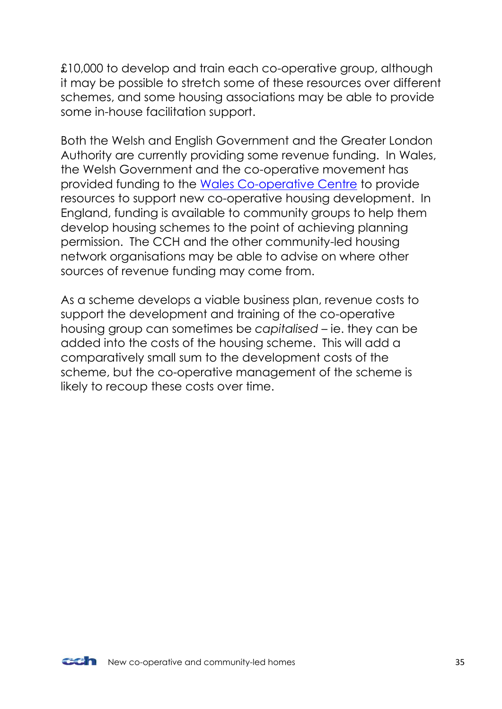£10,000 to develop and train each co-operative group, although it may be possible to stretch some of these resources over different schemes, and some housing associations may be able to provide some in-house facilitation support.

Both the Welsh and English Government and the Greater London Authority are currently providing some revenue funding. In Wales, the Welsh Government and the co-operative movement has provided funding to the [Wales Co-operative Centre](http://www.walescooperative.org/) to provide resources to support new co-operative housing development. In England, funding is available to community groups to help them develop housing schemes to the point of achieving planning permission. The CCH and the other community-led housing network organisations may be able to advise on where other sources of revenue funding may come from.

As a scheme develops a viable business plan, revenue costs to support the development and training of the co-operative housing group can sometimes be *capitalised* – ie. they can be added into the costs of the housing scheme. This will add a comparatively small sum to the development costs of the scheme, but the co-operative management of the scheme is likely to recoup these costs over time.

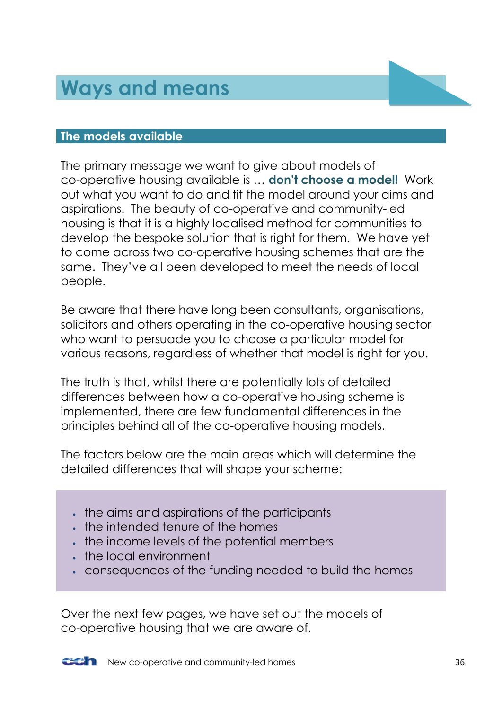# <span id="page-35-0"></span>**Ways and means**

#### <span id="page-35-1"></span>**The models available**

The primary message we want to give about models of co-operative housing available is … **don't choose a model!** Work out what you want to do and fit the model around your aims and aspirations. The beauty of co-operative and community-led housing is that it is a highly localised method for communities to develop the bespoke solution that is right for them. We have yet to come across two co-operative housing schemes that are the same. They've all been developed to meet the needs of local people.

Be aware that there have long been consultants, organisations, solicitors and others operating in the co-operative housing sector who want to persuade you to choose a particular model for various reasons, regardless of whether that model is right for you.

The truth is that, whilst there are potentially lots of detailed differences between how a co-operative housing scheme is implemented, there are few fundamental differences in the principles behind all of the co-operative housing models.

The factors below are the main areas which will determine the detailed differences that will shape your scheme:

- . the aims and aspirations of the participants
- the intended tenure of the homes
- . the income levels of the potential members
- the local environment
- consequences of the funding needed to build the homes

Over the next few pages, we have set out the models of co-operative housing that we are aware of.

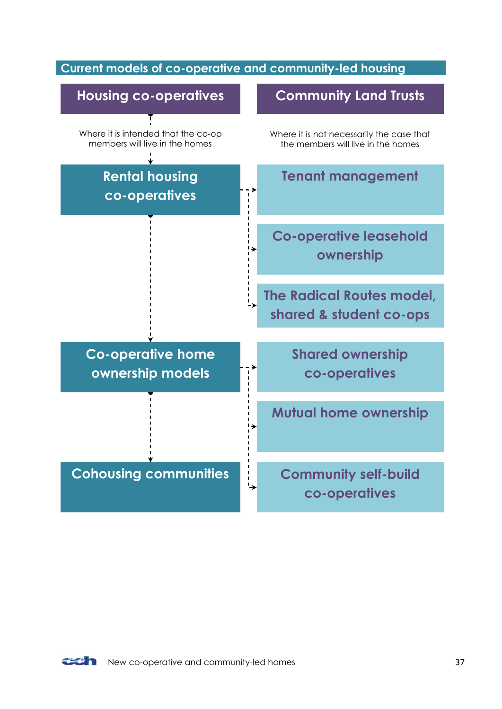### <span id="page-36-0"></span>**Current models of co-operative and community-led housing**



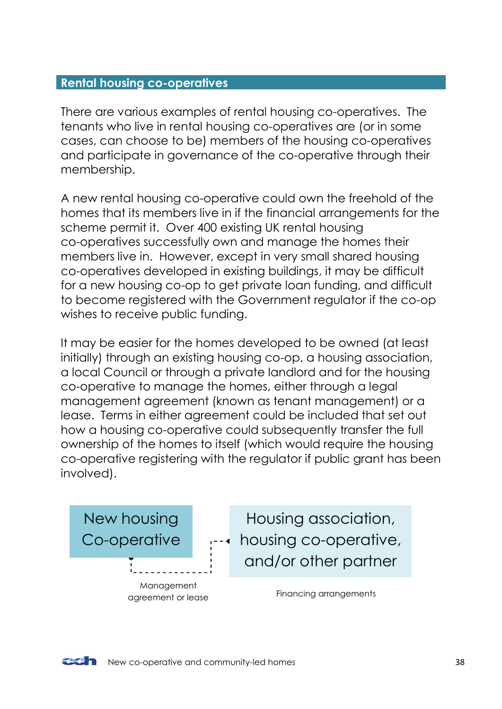### <span id="page-37-0"></span>**Rental housing co-operatives**

There are various examples of rental housing co-operatives. The tenants who live in rental housing co-operatives are (or in some cases, can choose to be) members of the housing co-operatives and participate in governance of the co-operative through their membership.

A new rental housing co-operative could own the freehold of the homes that its members live in if the financial arrangements for the scheme permit it. Over 400 existing UK rental housing co-operatives successfully own and manage the homes their members live in. However, except in very small shared housing co-operatives developed in existing buildings, it may be difficult for a new housing co-op to get private loan funding, and difficult to become registered with the Government regulator if the co-op wishes to receive public funding.

It may be easier for the homes developed to be owned (at least initially) through an existing housing co-op, a housing association, a local Council or through a private landlord and for the housing co-operative to manage the homes, either through a legal management agreement (known as tenant management) or a lease. Terms in either agreement could be included that set out how a housing co-operative could subsequently transfer the full ownership of the homes to itself (which would require the housing co-operative registering with the regulator if public grant has been involved).



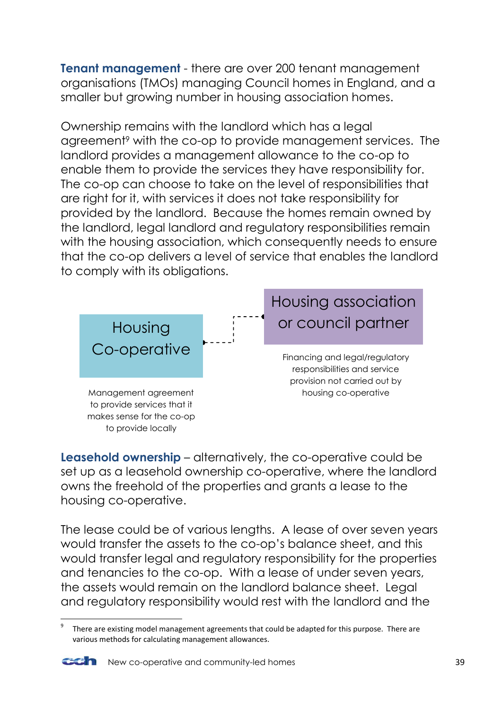**Tenant management** - there are over 200 tenant management organisations (TMOs) managing Council homes in England, and a smaller but growing number in housing association homes.

Ownership remains with the landlord which has a legal agreement<sup>9</sup> with the co-op to provide management services. The landlord provides a management allowance to the co-op to enable them to provide the services they have responsibility for. The co-op can choose to take on the level of responsibilities that are right for it, with services it does not take responsibility for provided by the landlord. Because the homes remain owned by the landlord, legal landlord and regulatory responsibilities remain with the housing association, which consequently needs to ensure that the co-op delivers a level of service that enables the landlord to comply with its obligations.



**Leasehold ownership** – alternatively, the co-operative could be set up as a leasehold ownership co-operative, where the landlord owns the freehold of the properties and grants a lease to the housing co-operative.

The lease could be of various lenaths. A lease of over seven years would transfer the assets to the co-op's balance sheet, and this would transfer legal and regulatory responsibility for the properties and tenancies to the co-op. With a lease of under seven years, the assets would remain on the landlord balance sheet. Legal and regulatory responsibility would rest with the landlord and the

<sup>9</sup> There are existing model management agreements that could be adapted for this purpose. There are various methods for calculating management allowances.



**.** 

New co-operative and community-led homes 39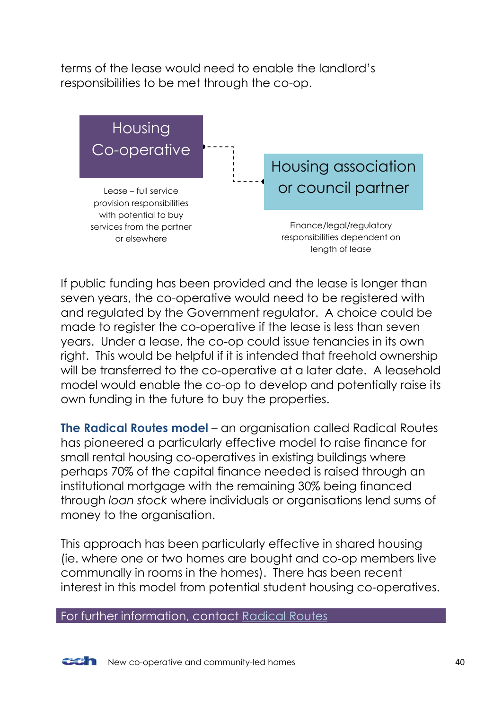terms of the lease would need to enable the landlord's responsibilities to be met through the co-op.



If public funding has been provided and the lease is longer than seven years, the co-operative would need to be registered with and regulated by the Government regulator. A choice could be made to register the co-operative if the lease is less than seven years. Under a lease, the co-op could issue tenancies in its own right. This would be helpful if it is intended that freehold ownership will be transferred to the co-operative at a later date. A leasehold model would enable the co-op to develop and potentially raise its own funding in the future to buy the properties.

**The Radical Routes model** – an organisation called Radical Routes has pioneered a particularly effective model to raise finance for small rental housing co-operatives in existing buildings where perhaps 70% of the capital finance needed is raised through an institutional mortgage with the remaining 30% being financed through *loan stock* where individuals or organisations lend sums of money to the organisation.

This approach has been particularly effective in shared housing (ie. where one or two homes are bought and co-op members live communally in rooms in the homes). There has been recent interest in this model from potential student housing co-operatives.

For further information, contact [Radical Routes](http://www.radicalroutes.org.uk/)

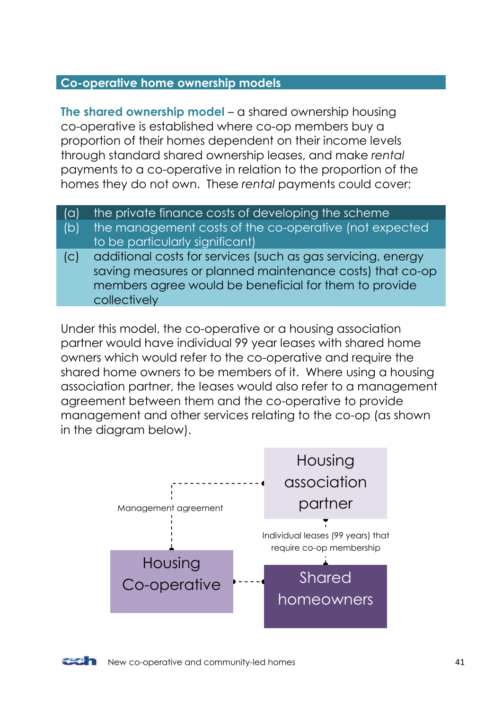### <span id="page-40-0"></span>**Co-operative home ownership models**

**The shared ownership model** – a shared ownership housing co-operative is established where co-op members buy a proportion of their homes dependent on their income levels through standard shared ownership leases, and make *rental* payments to a co-operative in relation to the proportion of the homes they do not own. These *rental* payments could cover:

- (a) the private finance costs of developing the scheme
- (b) the management costs of the co-operative (not expected to be particularly significant)
- (c) additional costs for services (such as gas servicing, energy saving measures or planned maintenance costs) that co-op members agree would be beneficial for them to provide collectively

Under this model, the co-operative or a housing association partner would have individual 99 year leases with shared home owners which would refer to the co-operative and require the shared home owners to be members of it. Where using a housing association partner, the leases would also refer to a management agreement between them and the co-operative to provide management and other services relating to the co-op (as shown in the diagram below).

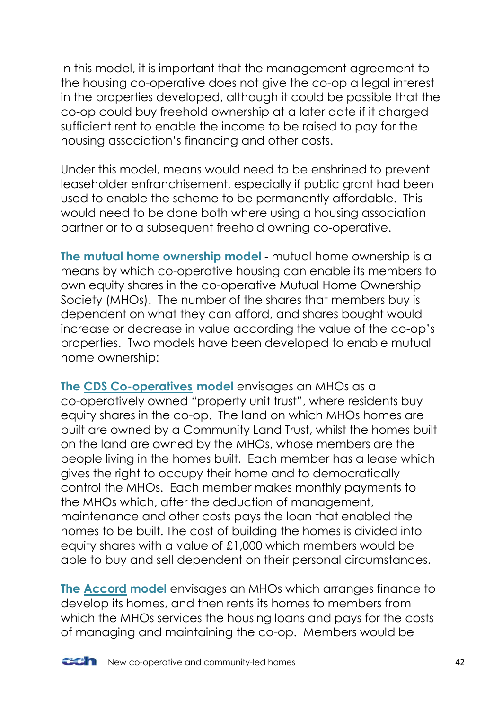In this model, it is important that the management agreement to the housing co-operative does not give the co-op a legal interest in the properties developed, although it could be possible that the co-op could buy freehold ownership at a later date if it charged sufficient rent to enable the income to be raised to pay for the housing association's financing and other costs.

Under this model, means would need to be enshrined to prevent leaseholder enfranchisement, especially if public grant had been used to enable the scheme to be permanently affordable. This would need to be done both where using a housing association partner or to a subsequent freehold owning co-operative.

**The mutual home ownership model** - mutual home ownership is a means by which co-operative housing can enable its members to own equity shares in the co-operative Mutual Home Ownership Society (MHOs). The number of the shares that members buy is dependent on what they can afford, and shares bought would increase or decrease in value according the value of the co-op's properties. Two models have been developed to enable mutual home ownership:

**The [CDS Co-operatives](http://www.cds.coop/about-us/mutual-home-ownership/a-consumers-guide-to-mutual-home-ownership) model** envisages an MHOs as a co-operatively owned "property unit trust", where residents buy equity shares in the co-op. The land on which MHOs homes are built are owned by a Community Land Trust, whilst the homes built on the land are owned by the MHOs, whose members are the people living in the homes built. Each member has a lease which gives the right to occupy their home and to democratically control the MHOs. Each member makes monthly payments to the MHOs which, after the deduction of management, maintenance and other costs pays the loan that enabled the homes to be built. The cost of building the homes is divided into equity shares with a value of £1,000 which members would be able to buy and sell dependent on their personal circumstances.

**The [Accord](http://bchs.coop/) model** envisages an MHOs which arranges finance to develop its homes, and then rents its homes to members from which the MHOs services the housing loans and pays for the costs of managing and maintaining the co-op. Members would be

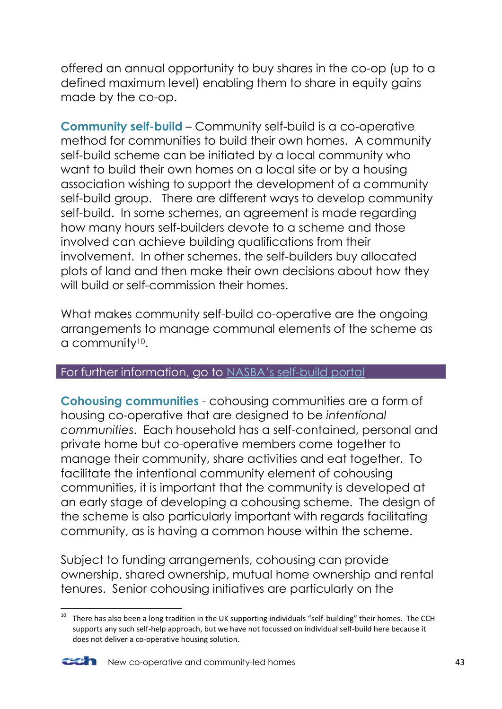offered an annual opportunity to buy shares in the co-op (up to a defined maximum level) enabling them to share in equity gains made by the co-op.

**Community self-build** – Community self-build is a co-operative method for communities to build their own homes. A community self-build scheme can be initiated by a local community who want to build their own homes on a local site or by a housing association wishing to support the development of a community self-build group. There are different ways to develop community self-build. In some schemes, an agreement is made regarding how many hours self-builders devote to a scheme and those involved can achieve building qualifications from their involvement. In other schemes, the self-builders buy allocated plots of land and then make their own decisions about how they will build or self-commission their homes.

What makes community self-build co-operative are the ongoing arrangements to manage communal elements of the scheme as a community10.

#### For further information, go to [NASBA's self](http://www.selfbuildportal.org.uk/supported-community-self-build-group)-build portal

**Cohousing communities** - cohousing communities are a form of housing co-operative that are designed to be *intentional communities*. Each household has a self-contained, personal and private home but co-operative members come together to manage their community, share activities and eat together. To facilitate the intentional community element of cohousing communities, it is important that the community is developed at an early stage of developing a cohousing scheme. The design of the scheme is also particularly important with regards facilitating community, as is having a common house within the scheme.

Subject to funding arrangements, cohousing can provide ownership, shared ownership, mutual home ownership and rental tenures. Senior cohousing initiatives are particularly on the

**<sup>.</sup>**  $10$  There has also been a long tradition in the UK supporting individuals "self-building" their homes. The CCH supports any such self-help approach, but we have not focussed on individual self-build here because it does not deliver a co-operative housing solution.

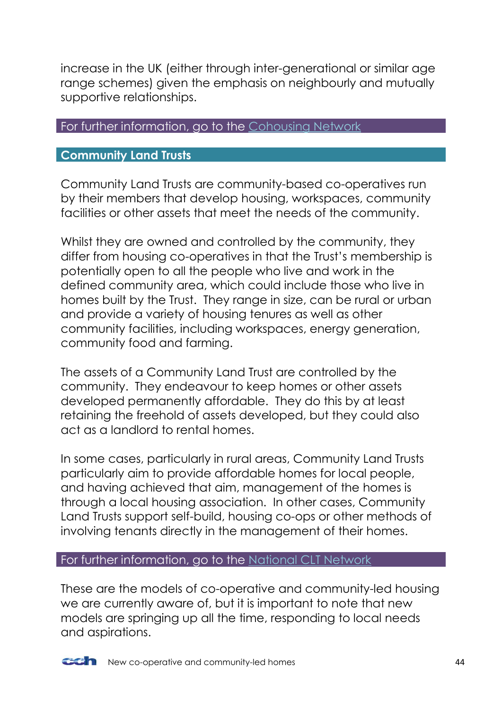increase in the UK (either through inter-generational or similar age range schemes) given the emphasis on neighbourly and mutually supportive relationships.

#### For further information, go to the [Cohousing Network](http://www.cohousing.org.uk/)

### <span id="page-43-0"></span>**Community Land Trusts**

Community Land Trusts are community-based co-operatives run by their members that develop housing, workspaces, community facilities or other assets that meet the needs of the community.

Whilst they are owned and controlled by the community, they differ from housing co-operatives in that the Trust's membership is potentially open to all the people who live and work in the defined community area, which could include those who live in homes built by the Trust. They range in size, can be rural or urban and provide a variety of housing tenures as well as other community facilities, including workspaces, energy generation, community food and farming.

The assets of a Community Land Trust are controlled by the community. They endeavour to keep homes or other assets developed permanently affordable. They do this by at least retaining the freehold of assets developed, but they could also act as a landlord to rental homes.

In some cases, particularly in rural areas, Community Land Trusts particularly aim to provide affordable homes for local people, and having achieved that aim, management of the homes is through a local housing association. In other cases, Community Land Trusts support self-build, housing co-ops or other methods of involving tenants directly in the management of their homes.

#### For further information, go to the [National CLT Network](http://www.communitylandtrusts.org.uk/home)

These are the models of co-operative and community-led housing we are currently aware of, but it is important to note that new models are springing up all the time, responding to local needs and aspirations.

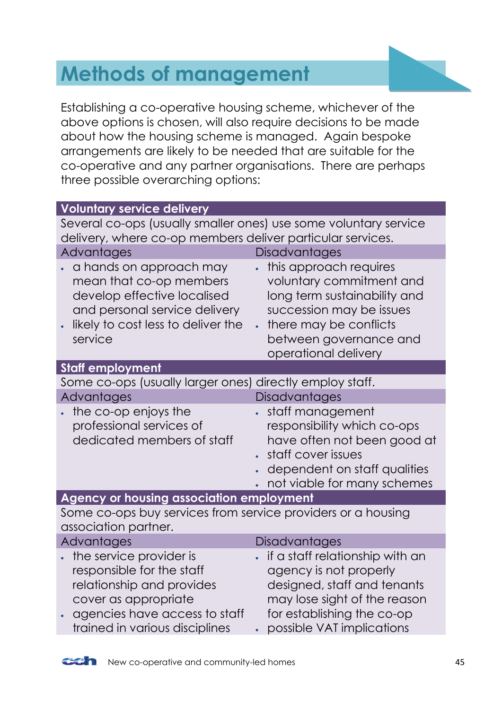# <span id="page-44-0"></span>**Methods of management**

Establishing a co-operative housing scheme, whichever of the above options is chosen, will also require decisions to be made about how the housing scheme is managed. Again bespoke arrangements are likely to be needed that are suitable for the co-operative and any partner organisations. There are perhaps three possible overarching options:

| <b>Voluntary service delivery</b>                                                                                                                                            |                                                                                                                                                                                                         |  |
|------------------------------------------------------------------------------------------------------------------------------------------------------------------------------|---------------------------------------------------------------------------------------------------------------------------------------------------------------------------------------------------------|--|
| Several co-ops (usually smaller ones) use some voluntary service                                                                                                             |                                                                                                                                                                                                         |  |
| delivery, where co-op members deliver particular services.                                                                                                                   |                                                                                                                                                                                                         |  |
| Advantages                                                                                                                                                                   | <b>Disadvantages</b>                                                                                                                                                                                    |  |
| a hands on approach may<br>mean that co-op members<br>develop effective localised<br>and personal service delivery<br>likely to cost less to deliver the<br>service          | this approach requires<br>voluntary commitment and<br>long term sustainability and<br>succession may be issues<br>there may be conflicts<br>$\bullet$<br>between governance and<br>operational delivery |  |
| <b>Staff employment</b>                                                                                                                                                      |                                                                                                                                                                                                         |  |
| Some co-ops (usually larger ones) directly employ staff.                                                                                                                     |                                                                                                                                                                                                         |  |
| Advantages                                                                                                                                                                   | Disadvantages                                                                                                                                                                                           |  |
| the co-op enjoys the<br>professional services of<br>dedicated members of staff                                                                                               | staff management<br>responsibility which co-ops<br>have often not been good at<br>staff cover issues<br>dependent on staff qualities<br>not viable for many schemes                                     |  |
| Agency or housing association employment                                                                                                                                     |                                                                                                                                                                                                         |  |
| Some co-ops buy services from service providers or a housing<br>association partner.                                                                                         |                                                                                                                                                                                                         |  |
| Advantages                                                                                                                                                                   | Disadvantages                                                                                                                                                                                           |  |
| the service provider is<br>responsible for the staff<br>relationship and provides<br>cover as appropriate<br>agencies have access to staff<br>trained in various disciplines | if a staff relationship with an<br>agency is not properly<br>designed, staff and tenants<br>may lose sight of the reason<br>for establishing the co-op<br>possible VAT implications                     |  |

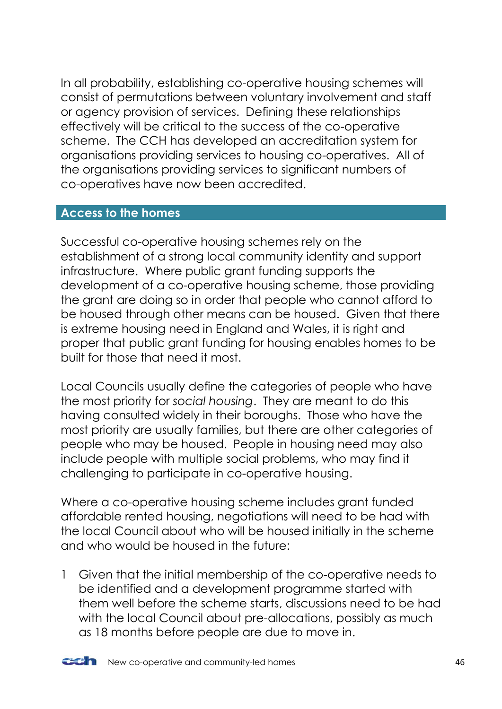In all probability, establishing co-operative housing schemes will consist of permutations between voluntary involvement and staff or agency provision of services. Defining these relationships effectively will be critical to the success of the co-operative scheme. The CCH has developed an accreditation system for organisations providing services to housing co-operatives. All of the organisations providing services to significant numbers of co-operatives have now been accredited.

### <span id="page-45-0"></span>**Access to the homes**

Successful co-operative housing schemes rely on the establishment of a strong local community identity and support infrastructure. Where public grant funding supports the development of a co-operative housing scheme, those providing the grant are doing so in order that people who cannot afford to be housed through other means can be housed. Given that there is extreme housing need in England and Wales, it is right and proper that public grant funding for housing enables homes to be built for those that need it most.

Local Councils usually define the categories of people who have the most priority for *social housing*. They are meant to do this having consulted widely in their boroughs. Those who have the most priority are usually families, but there are other categories of people who may be housed. People in housing need may also include people with multiple social problems, who may find it challenging to participate in co-operative housing.

Where a co-operative housing scheme includes grant funded affordable rented housing, negotiations will need to be had with the local Council about who will be housed initially in the scheme and who would be housed in the future:

1 Given that the initial membership of the co-operative needs to be identified and a development programme started with them well before the scheme starts, discussions need to be had with the local Council about pre-allocations, possibly as much as 18 months before people are due to move in.

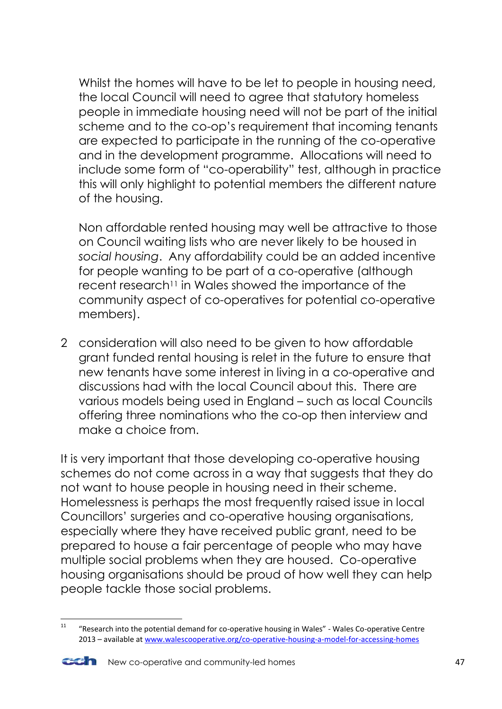Whilst the homes will have to be let to people in housing need, the local Council will need to agree that statutory homeless people in immediate housing need will not be part of the initial scheme and to the co-op's requirement that incoming tenants are expected to participate in the running of the co-operative and in the development programme. Allocations will need to include some form of "co-operability" test, although in practice this will only highlight to potential members the different nature of the housing.

Non affordable rented housing may well be attractive to those on Council waiting lists who are never likely to be housed in *social housing*. Any affordability could be an added incentive for people wanting to be part of a co-operative (although recent research<sup>11</sup> in Wales showed the importance of the community aspect of co-operatives for potential co-operative members).

2 consideration will also need to be given to how affordable grant funded rental housing is relet in the future to ensure that new tenants have some interest in living in a co-operative and discussions had with the local Council about this. There are various models being used in England – such as local Councils offering three nominations who the co-op then interview and make a choice from.

It is very important that those developing co-operative housing schemes do not come across in a way that suggests that they do not want to house people in housing need in their scheme. Homelessness is perhaps the most frequently raised issue in local Councillors' surgeries and co-operative housing organisations, especially where they have received public grant, need to be prepared to house a fair percentage of people who may have multiple social problems when they are housed. Co-operative housing organisations should be proud of how well they can help people tackle those social problems.

 $\frac{1}{11}$  "Research into the potential demand for co-operative housing in Wales" - Wales Co-operative Centre 2013 – available a[t www.walescooperative.org/co-operative-housing-a-model-for-accessing-homes](http://www.walescooperative.org/co-operative-housing-a-model-for-accessing-homes)

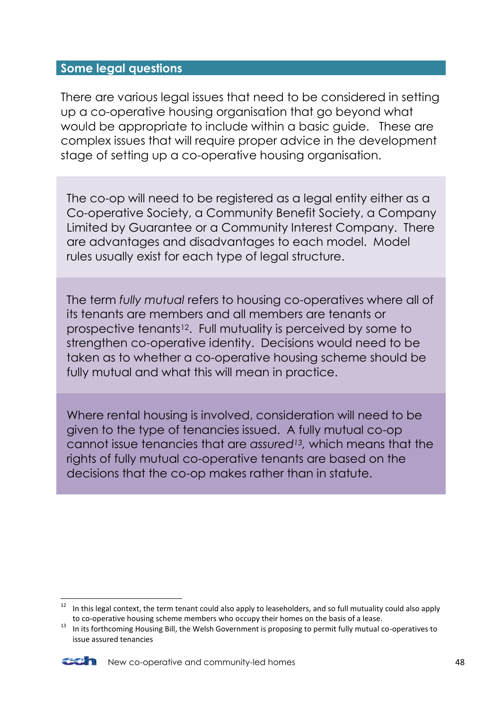### <span id="page-47-0"></span>**Some legal questions**

There are various legal issues that need to be considered in setting up a co-operative housing organisation that go beyond what would be appropriate to include within a basic guide. These are complex issues that will require proper advice in the development stage of setting up a co-operative housing organisation.

The co-op will need to be registered as a legal entity either as a Co-operative Society, a Community Benefit Society, a Company Limited by Guarantee or a Community Interest Company. There are advantages and disadvantages to each model. Model rules usually exist for each type of legal structure.

The term *fully mutual* refers to housing co-operatives where all of its tenants are members and all members are tenants or prospective tenants12. Full mutuality is perceived by some to strengthen co-operative identity. Decisions would need to be taken as to whether a co-operative housing scheme should be fully mutual and what this will mean in practice.

Where rental housing is involved, consideration will need to be given to the type of tenancies issued. A fully mutual co-op cannot issue tenancies that are *assured13,* which means that the rights of fully mutual co-operative tenants are based on the decisions that the co-op makes rather than in statute.

<sup>&</sup>lt;sup>13</sup> In its forthcoming Housing Bill, the Welsh Government is proposing to permit fully mutual co-operatives to issue assured tenancies



**.** 

<sup>12</sup> In this legal context, the term tenant could also apply to leaseholders, and so full mutuality could also apply to co-operative housing scheme members who occupy their homes on the basis of a lease.